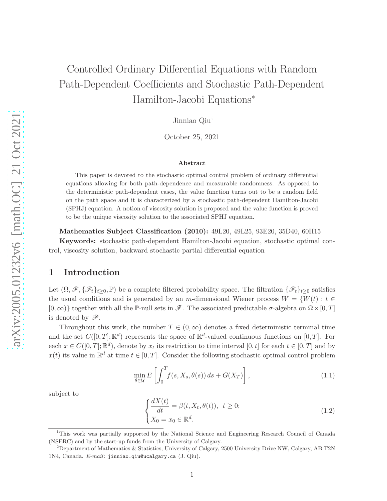# Controlled Ordinary Differential Equations with Random Path-Dependent Coefficients and Stochastic Path-Dependent Hamilton-Jacobi Equations<sup>∗</sup>

Jinniao Qiu†

October 25, 2021

#### Abstract

This paper is devoted to the stochastic optimal control problem of ordinary differential equations allowing for both path-dependence and measurable randomness. As opposed to the deterministic path-dependent cases, the value function turns out to be a random field on the path space and it is characterized by a stochastic path-dependent Hamilton-Jacobi (SPHJ) equation. A notion of viscosity solution is proposed and the value function is proved to be the unique viscosity solution to the associated SPHJ equation.

Mathematics Subject Classification (2010): 49L20, 49L25, 93E20, 35D40, 60H15 Keywords: stochastic path-dependent Hamilton-Jacobi equation, stochastic optimal control, viscosity solution, backward stochastic partial differential equation

# 1 Introduction

Let  $(\Omega, \mathscr{F}, \{\mathscr{F}_t\}_{t>0}, \mathbb{P})$  be a complete filtered probability space. The filtration  $\{\mathscr{F}_t\}_{t>0}$  satisfies the usual conditions and is generated by an m-dimensional Wiener process  $W = \{W(t) : t \in$  $[0,\infty)$ } together with all the P-null sets in  $\mathscr{F}$ . The associated predictable  $\sigma$ -algebra on  $\Omega \times [0,T]$ is denoted by  $\mathscr{P}$ .

Throughout this work, the number  $T \in (0,\infty)$  denotes a fixed deterministic terminal time and the set  $C([0,T];\mathbb{R}^d)$  represents the space of  $\mathbb{R}^d$ -valued continuous functions on  $[0,T]$ . For each  $x \in C([0,T]; \mathbb{R}^d)$ , denote by  $x_t$  its restriction to time interval  $[0, t]$  for each  $t \in [0, T]$  and by  $x(t)$  its value in  $\mathbb{R}^d$  at time  $t \in [0, T]$ . Consider the following stochastic optimal control problem

$$
\min_{\theta \in \mathcal{U}} E\left[\int_0^T f(s, X_s, \theta(s)) ds + G(X_T)\right],\tag{1.1}
$$

subject to

<span id="page-0-1"></span>
$$
\begin{cases}\n\frac{dX(t)}{dt} = \beta(t, X_t, \theta(t)), \quad t \ge 0; \\
X_0 = x_0 \in \mathbb{R}^d.\n\end{cases}
$$
\n(1.2)

<span id="page-0-0"></span>1

<sup>1</sup>This work was partially supported by the National Science and Engineering Research Council of Canada (NSERC) and by the start-up funds from the University of Calgary.

<sup>&</sup>lt;sup>2</sup>Department of Mathematics & Statistics, University of Calgary, 2500 University Drive NW, Calgary, AB T2N 1N4, Canada. E-mail: jinniao.qiu@ucalgary.ca (J. Qiu).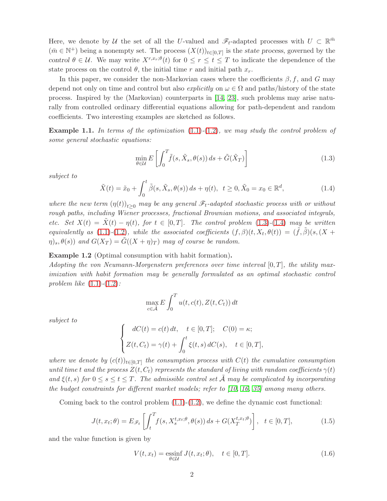Here, we denote by U the set of all the U-valued and  $\mathscr{F}_t$ -adapted processes with  $U \subset \mathbb{R}^{\bar{m}}$  $(\bar{m} \in \mathbb{N}^+)$  being a nonempty set. The process  $(X(t))_{t\in[0,T]}$  is the state process, governed by the control  $\theta \in \mathcal{U}$ . We may write  $X^{r,x_r;\theta}(t)$  for  $0 \leq r \leq t \leq T$  to indicate the dependence of the state process on the control  $\theta$ , the initial time r and initial path  $x_r$ .

In this paper, we consider the non-Markovian cases where the coefficients  $\beta$ , f, and G may depend not only on time and control but also explicitly on  $\omega \in \Omega$  and paths/history of the state process. Inspired by the (Markovian) counterparts in [\[14,](#page-24-0) [23\]](#page-24-1), such problems may arise naturally from controlled ordinary differential equations allowing for path-dependent and random coefficients. Two interesting examples are sketched as follows.

**Example 1.1.** In terms of the optimization  $(1.1)-(1.2)$  $(1.1)-(1.2)$  $(1.1)-(1.2)$ , we may study the control problem of some general stochastic equations:

<span id="page-1-0"></span>
$$
\min_{\theta \in \mathcal{U}} E\left[\int_0^T \tilde{f}(s, \tilde{X}_s, \theta(s)) ds + \tilde{G}(\tilde{X}_T)\right]
$$
\n(1.3)

subject to

<span id="page-1-1"></span>
$$
\tilde{X}(t) = \tilde{x}_0 + \int_0^t \tilde{\beta}(s, \tilde{X}_s, \theta(s)) ds + \eta(t), \ \ t \ge 0, \tilde{X}_0 = x_0 \in \mathbb{R}^d,
$$
\n(1.4)

where the new term  $(\eta(t))_{t\geq0}$  may be any general  $\mathscr{F}_t$ -adapted stochastic process with or without rough paths, including Wiener processes, fractional Brownian motions, and associated integrals, etc. Set  $X(t) = \tilde{X}(t) - \eta(t)$ , for  $t \in [0, T]$ . The control problem [\(1.3\)](#page-1-0)-[\(1.4\)](#page-1-1) may be written equivalently as [\(1.1\)](#page-0-0)-[\(1.2\)](#page-0-1), while the associated coefficients  $(f, \beta)(t, X_t, \theta(t)) = (\tilde{f}, \tilde{\beta})(s, (X +$  $(\eta)_s, \theta(s))$  and  $G(X_T) = \tilde{G}((X + \eta)_T)$  may of course be random.

#### Example 1.2 (Optimal consumption with habit formation).

Adopting the von Neumann-Morgenstern preferences over time interval  $[0, T]$ , the utility maximization with habit formation may be generally formulated as an optimal stochastic control problem like  $(1.1)-(1.2)$  $(1.1)-(1.2)$  $(1.1)-(1.2)$ :

$$
\max_{c \in \tilde{\mathcal{A}}} E \int_0^T u(t, c(t), Z(t, C_t)) dt
$$

subject to

$$
\begin{cases}\ndC(t) = c(t) dt, & t \in [0, T]; \quad C(0) = \kappa; \\
Z(t, C_t) = \gamma(t) + \int_0^t \xi(t, s) dC(s), & t \in [0, T],\n\end{cases}
$$

where we denote by  $(c(t))_{t\in[0,T]}$  the consumption process with  $C(t)$  the cumulative consumption until time t and the process  $Z(t, C_t)$  represents the standard of living with random coefficients  $\gamma(t)$ and  $\xi(t,s)$  for  $0 \leq s \leq t \leq T$ . The admissible control set  $\overline{A}$  may be complicated by incorporating the budget constraints for different market models; refer to [\[10,](#page-23-0) [16,](#page-24-2) [35\]](#page-25-0) among many others.

Coming back to the control problem  $(1.1)-(1.2)$  $(1.1)-(1.2)$ , we define the dynamic cost functional:

$$
J(t, x_t; \theta) = E_{\mathscr{F}_t} \left[ \int_t^T f(s, X_s^{t, x_t; \theta}, \theta(s)) ds + G(X_T^{t, x_t; \theta}) \right], \quad t \in [0, T], \tag{1.5}
$$

and the value function is given by

<span id="page-1-2"></span>
$$
V(t, x_t) = \underset{\theta \in \mathcal{U}}{\text{essinf}} \, J(t, x_t; \theta), \quad t \in [0, T]. \tag{1.6}
$$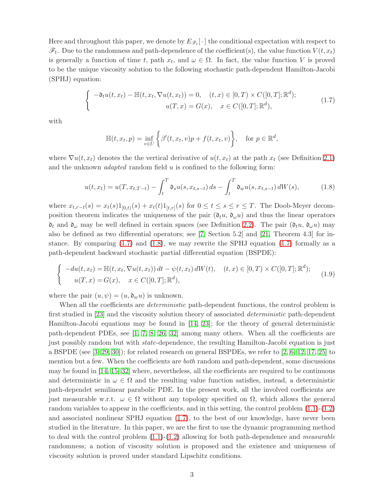Here and throughout this paper, we denote by  $E_{\mathscr{F}_t}[\cdot]$  the conditional expectation with respect to  $\mathscr{F}_t$ . Due to the randomness and path-dependence of the coefficient(s), the value function  $V(t, x_t)$ is generally a function of time t, path  $x_t$ , and  $\omega \in \Omega$ . In fact, the value function V is proved to be the unique viscosity solution to the following stochastic path-dependent Hamilton-Jacobi (SPHJ) equation:

<span id="page-2-0"></span>
$$
\begin{cases}\n-\mathfrak{d}_t u(t, x_t) - \mathbb{H}(t, x_t, \nabla u(t, x_t)) = 0, & (t, x) \in [0, T) \times C([0, T]; \mathbb{R}^d); \\
u(T, x) = G(x), & x \in C([0, T]; \mathbb{R}^d),\n\end{cases}
$$
\n(1.7)

with

<span id="page-2-1"></span>
$$
\mathbb{H}(t, x_t, p) = \inf_{v \in U} \left\{ \beta'(t, x_t, v)p + f(t, x_t, v) \right\}, \quad \text{for } p \in \mathbb{R}^d,
$$

where  $\nabla u(t, x_t)$  denotes the the vertical derivative of  $u(t, x_t)$  at the path  $x_t$  (see Definition [2.1\)](#page-4-0) and the unknown *adapted* random field  $u$  is confined to the following form:

$$
u(t, x_t) = u(T, x_{t,T-t}) - \int_t^T \mathfrak{d}_s u(s, x_{t,s-t}) ds - \int_t^T \mathfrak{d}_w u(s, x_{t,s-t}) dW(s), \tag{1.8}
$$

where  $x_{t,r-t}(s) = x_t(s)1_{[0,t)}(s) + x_t(t)1_{[t,r]}(s)$  for  $0 \le t \le s \le r \le T$ . The Doob-Meyer decomposition theorem indicates the uniqueness of the pair  $(\mathfrak{d}_t u, \mathfrak{d}_\omega u)$  and thus the linear operators  $\mathfrak{d}_t$  and  $\mathfrak{d}_\omega$  may be well defined in certain spaces (see Definition [2.2\)](#page-5-0). The pair  $(\mathfrak{d}_t u, \mathfrak{d}_\omega u)$  may also be defined as two differential operators; see [\[7,](#page-23-1) Section 5.2] and [\[21,](#page-24-3) Theorem 4.3] for instance. By comparing  $(1.7)$  and  $(1.8)$ , we may rewrite the SPHJ equation  $(1.7)$  formally as a path-dependent backward stochastic partial differential equation (BSPDE):

$$
\begin{cases}\n-du(t, x_t) = \mathbb{H}(t, x_t, \nabla u(t, x_t)) dt - \psi(t, x_t) dW(t), & (t, x) \in [0, T) \times C([0, T]; \mathbb{R}^d); \\
u(T, x) = G(x), & x \in C([0, T]; \mathbb{R}^d),\n\end{cases}
$$
\n(1.9)

where the pair  $(u, \psi) = (u, \mathfrak{d}_w u)$  is unknown.

When all the coefficients are *deterministic* path-dependent functions, the control problem is first studied in [\[23\]](#page-24-1) and the viscosity solution theory of associated *deterministic* path-dependent Hamilton-Jacobi equations may be found in [\[14,](#page-24-0) [23\]](#page-24-1); for the theory of general deterministic path-dependent PDEs, see [\[1,](#page-23-2) [7,](#page-23-1) [8,](#page-23-3) [26,](#page-24-4) [32\]](#page-25-1) among many others. When all the coefficients are just possibly random but with state-dependence, the resulting Hamilton-Jacobi equation is just a BSPDE (see  $[3, 29, 30]$  $[3, 29, 30]$  $[3, 29, 30]$ ); for related research on general BSPDEs, we refer to  $[2, 6, 12, 17, 25]$  $[2, 6, 12, 17, 25]$  $[2, 6, 12, 17, 25]$  $[2, 6, 12, 17, 25]$  $[2, 6, 12, 17, 25]$  to mention but a few. When the coefficients are *both* random and path-dependent, some discussions may be found in [\[14,](#page-24-0) [15,](#page-24-8) [32\]](#page-25-1) where, nevertheless, all the coefficients are required to be continuous and deterministic in  $\omega \in \Omega$  and the resulting value function satisfies, instead, a deterministic path-dependet semilinear parabolic PDE. In the present work, all the involved coefficients are just measurable w.r.t.  $\omega \in \Omega$  without any topology specified on  $\Omega$ , which allows the general random variables to appear in the coefficients, and in this setting, the control problem [\(1.1\)](#page-0-0)-[\(1.2\)](#page-0-1) and associated nonlinear SPHJ equation [\(1.7\)](#page-2-0), to the best of our knowledge, have never been studied in the literature. In this paper, we are the first to use the dynamic programming method to deal with the control problem  $(1.1)-(1.2)$  $(1.1)-(1.2)$  allowing for both path-dependence and *measurable* randomness; a notion of viscosity solution is proposed and the existence and uniqueness of viscosity solution is proved under standard Lipschitz conditions.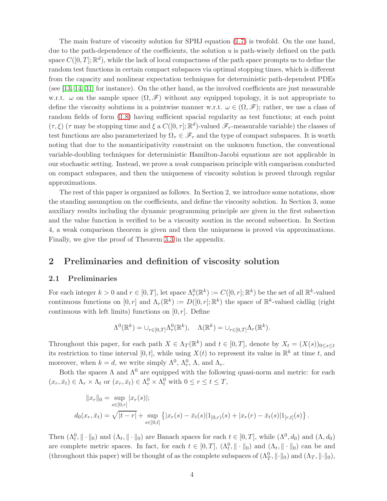The main feature of viscosity solution for SPHJ equation [\(1.7\)](#page-2-0) is twofold. On the one hand, due to the path-dependence of the coefficients, the solution  $u$  is path-wisely defined on the path space  $C([0,T];\mathbb{R}^d)$ , while the lack of local compactness of the path space prompts us to define the random test functions in certain compact subspaces via optimal stopping times, which is different from the capacity and nonlinear expectation techniques for deterministic path-dependent PDEs (see [\[13,](#page-24-9) [14,](#page-24-0) [31\]](#page-25-3) for instance). On the other hand, as the involved coefficients are just measurable w.r.t.  $\omega$  on the sample space  $(\Omega, \mathscr{F})$  without any equipped topology, it is not appropriate to define the viscosity solutions in a pointwise manner w.r.t.  $\omega \in (\Omega, \mathscr{F})$ ; rather, we use a class of random fields of form [\(1.8\)](#page-2-1) having sufficient spacial regularity as test functions; at each point  $(\tau, \xi)$  ( $\tau$  may be stopping time and  $\xi$  a  $C([0, \tau]; \mathbb{R}^d)$ -valued  $\mathscr{F}_{\tau}$ -measurable variable) the classes of test functions are also parameterized by  $\Omega_{\tau} \in \mathscr{F}_{\tau}$  and the type of compact subspaces. It is worth noting that due to the nonanticipativity constraint on the unknown function, the conventional variable-doubling techniques for deterministic Hamilton-Jacobi equations are not applicable in our stochastic setting. Instead, we prove a weak comparison principle with comparison conducted on compact subspaces, and then the uniqueness of viscosity solution is proved through regular approximations.

The rest of this paper is organized as follows. In Section 2, we introduce some notations, show the standing assumption on the coefficients, and define the viscosity solution. In Section 3, some auxiliary results including the dynamic programming principle are given in the first subsection and the value function is verified to be a viscosity soution in the second subsection. In Section 4, a weak comparison theorem is given and then the uniqueness is proved via approximations. Finally, we give the proof of Theorem [3.3](#page-9-0) in the appendix.

## 2 Preliminaries and definition of viscosity solution

#### 2.1 Preliminaries

For each integer  $k > 0$  and  $r \in [0, T]$ , let space  $\Lambda_r^0(\mathbb{R}^k) := C([0, r]; \mathbb{R}^k)$  be the set of all  $\mathbb{R}^k$ -valued continuous functions on  $[0,r]$  and  $\Lambda_r(\mathbb{R}^k) := D([0,r];\mathbb{R}^k)$  the space of  $\mathbb{R}^k$ -valued càdlàg (right continuous with left limits) functions on  $[0, r]$ . Define

$$
\Lambda^0(\mathbb{R}^k) = \cup_{r \in [0,T]} \Lambda^0_r(\mathbb{R}^k), \quad \Lambda(\mathbb{R}^k) = \cup_{r \in [0,T]} \Lambda_r(\mathbb{R}^k).
$$

Throughout this paper, for each path  $X \in \Lambda_T(\mathbb{R}^k)$  and  $t \in [0,T]$ , denote by  $X_t = (X(s))_{0 \le s \le t}$ its restriction to time interval  $[0, t]$ , while using  $X(t)$  to represent its value in  $\mathbb{R}^k$  at time t, and moreover, when  $k = d$ , we write simply  $\Lambda^0$ ,  $\Lambda_r^0$ ,  $\Lambda$ , and  $\Lambda_r$ .

Both the spaces  $\Lambda$  and  $\Lambda^0$  are equipped with the following quasi-norm and metric: for each  $(x_r, \bar{x}_t) \in \Lambda_r \times \Lambda_t$  or  $(x_r, \bar{x}_t) \in \Lambda_r^0 \times \Lambda_t^0$  with  $0 \le r \le t \le T$ ,

$$
||x_r||_0 = \sup_{s \in [0,r]} |x_r(s)|;
$$
  

$$
d_0(x_r, \bar{x}_t) = \sqrt{|t-r|} + \sup_{s \in [0,t]} \{ |x_r(s) - \bar{x}_t(s)| 1_{[0,r)}(s) + |x_r(r) - \bar{x}_t(s)| 1_{[r,t]}(s) \}
$$

.

Then  $(\Lambda_t^0, \|\cdot\|_0)$  and  $(\Lambda_t, \|\cdot\|_0)$  are Banach spaces for each  $t \in [0, T]$ , while  $(\Lambda^0, d_0)$  and  $(\Lambda, d_0)$ are complete metric spaces. In fact, for each  $t \in [0,T]$ ,  $(\Lambda_t^0, \|\cdot\|_0)$  and  $(\Lambda_t, \|\cdot\|_0)$  can be and (throughout this paper) will be thought of as the complete subspaces of  $(\Lambda_T^0, \|\cdot\|_0)$  and  $(\Lambda_T, \|\cdot\|_0)$ ,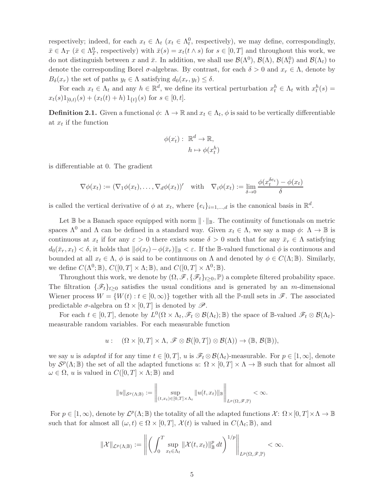respectively; indeed, for each  $x_t \in \Lambda_t$  ( $x_t \in \Lambda_t^0$ , respectively), we may define, correspondingly,  $\bar{x} \in \Lambda_T$  ( $\bar{x} \in \Lambda_T^0$ , respectively) with  $\bar{x}(s) = x_t(t \wedge s)$  for  $s \in [0, T]$  and throughout this work, we do not distinguish between x and  $\bar{x}$ . In addition, we shall use  $\mathcal{B}(\Lambda^0)$ ,  $\mathcal{B}(\Lambda)$ ,  $\mathcal{B}(\Lambda^0)$  and  $\mathcal{B}(\Lambda_t)$  to denote the corresponding Borel  $\sigma$ -algebras. By contrast, for each  $\delta > 0$  and  $x_r \in \Lambda$ , denote by  $B_{\delta}(x_r)$  the set of paths  $y_t \in \Lambda$  satisfying  $d_0(x_r, y_t) \leq \delta$ .

For each  $x_t \in \Lambda_t$  and any  $h \in \mathbb{R}^d$ , we define its vertical perturbation  $x_t^h \in \Lambda_t$  with  $x_t^h(s) =$  $x_t(s)1_{[0,t)}(s) + (x_t(t) + h)1_{\{t\}}(s)$  for  $s \in [0,t]$ .

<span id="page-4-0"></span>**Definition 2.1.** Given a functional  $\phi: \Lambda \to \mathbb{R}$  and  $x_t \in \Lambda_t$ ,  $\phi$  is said to be vertically differentiable at  $x_t$  if the function

$$
\phi(x_t): \mathbb{R}^d \to \mathbb{R},
$$

$$
h \mapsto \phi(x_t^h)
$$

is differentiable at 0. The gradient

$$
\nabla \phi(x_t) := (\nabla_1 \phi(x_t), \dots, \nabla_d \phi(x_t))'
$$
 with 
$$
\nabla_i \phi(x_t) := \lim_{\delta \to 0} \frac{\phi(x_t^{\delta \epsilon_i}) - \phi(x_t)}{\delta}
$$

is called the vertical derivative of  $\phi$  at  $x_t$ , where  $\{e_i\}_{i=1,\dots,d}$  is the canonical basis in  $\mathbb{R}^d$ .

Let  $\mathbb B$  be a Banach space equipped with norm  $\|\cdot\|_{\mathbb B}$ . The continuity of functionals on metric spaces  $\Lambda^0$  and  $\Lambda$  can be defined in a standard way. Given  $x_t \in \Lambda$ , we say a map  $\phi: \Lambda \to \mathbb{B}$  is continuous at  $x_t$  if for any  $\varepsilon > 0$  there exists some  $\delta > 0$  such that for any  $\bar{x}_r \in \Lambda$  satisfying  $d_0(\bar{x}_r, x_t) < \delta$ , it holds that  $\|\phi(x_t)-\phi(\bar{x}_r)\|_{\mathbb{B}} < \varepsilon$ . If the B-valued functional  $\phi$  is continuous and bounded at all  $x_t \in \Lambda$ ,  $\phi$  is said to be continuous on  $\Lambda$  and denoted by  $\phi \in C(\Lambda;\mathbb{B})$ . Similarly, we define  $C(\Lambda^0;\mathbb{B})$ ,  $C([0,T] \times \Lambda;\mathbb{B})$ , and  $C([0,T] \times \Lambda^0;\mathbb{B})$ .

Throughout this work, we denote by  $(\Omega, \mathscr{F}, \{\mathscr{F}_t\}_{t>0}, \mathbb{P})$  a complete filtered probability space. The filtration  $\{\mathcal{F}_t\}_{t>0}$  satisfies the usual conditions and is generated by an m-dimensional Wiener process  $W = \{W(t) : t \in [0, \infty)\}\$ together with all the P-null sets in  $\mathscr{F}$ . The associated predictable  $\sigma$ -algebra on  $\Omega \times [0, T]$  is denoted by  $\mathscr{P}$ .

For each  $t \in [0,T]$ , denote by  $L^0(\Omega \times \Lambda_t, \mathscr{F}_t \otimes \mathcal{B}(\Lambda_t); \mathbb{B})$  the space of B-valued  $\mathscr{F}_t \otimes \mathcal{B}(\Lambda_t)$ measurable random variables. For each measurable function

$$
u: \quad (\Omega \times [0,T] \times \Lambda, \mathscr{F} \otimes \mathcal{B}([0,T]) \otimes \mathcal{B}(\Lambda)) \to (\mathbb{B}, \mathcal{B}(\mathbb{B})),
$$

we say u is adapted if for any time  $t \in [0, T]$ , u is  $\mathscr{F}_t \otimes \mathcal{B}(\Lambda_t)$ -measurable. For  $p \in [1, \infty]$ , denote by  $S^p(\Lambda;\mathbb{B})$  the set of all the adapted functions  $u: \Omega \times [0,T] \times \Lambda \to \mathbb{B}$  such that for almost all  $\omega \in \Omega$ , u is valued in  $C([0, T] \times \Lambda; \mathbb{B})$  and

$$
||u||_{\mathcal{S}^p(\Lambda;\mathbb{B})}:=\left\Vert \sup_{(t,x_t)\in[0,T]\times\Lambda_t}\Vert u(t,x_t)\Vert_{\mathbb{B}}\right\Vert_{L^p(\Omega,\mathscr{F},\mathbb{P})}<\infty.
$$

For  $p \in [1,\infty)$ , denote by  $\mathcal{L}^p(\Lambda;\mathbb{B})$  the totality of all the adapted functions  $\mathcal{X}$ :  $\Omega \times [0,T] \times \Lambda \to \mathbb{B}$ such that for almost all  $(\omega, t) \in \Omega \times [0, T]$ ,  $\mathcal{X}(t)$  is valued in  $C(\Lambda_t; \mathbb{B})$ , and

$$
\|\mathcal{X}\|_{\mathcal{L}^p(\Lambda;\mathbb{B})} := \left\|\left(\int_0^T \sup_{x_t \in \Lambda_t} \|\mathcal{X}(t,x_t)\|_{\mathbb{B}}^p dt\right)^{1/p}\right\|_{L^p(\Omega,\mathscr{F},\mathbb{P})} < \infty.
$$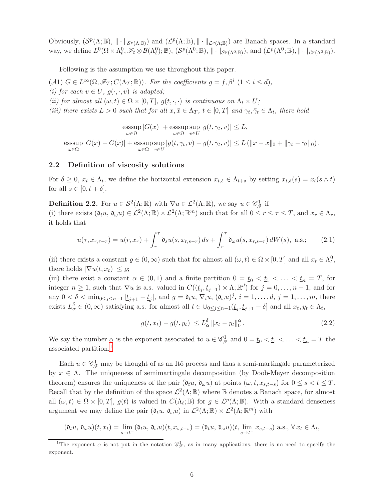Obviously,  $(S^p(\Lambda;\mathbb{B}),\|\cdot\|_{S^p(\Lambda;\mathbb{B})})$  and  $(\mathcal{L}^p(\Lambda;\mathbb{B}),\|\cdot\|_{\mathcal{L}^p(\Lambda;\mathbb{B})})$  are Banach spaces. In a standard way, we define  $L^0(\Omega \times \Lambda_t^0, \mathscr{F}_t \otimes \mathcal{B}(\Lambda_t^0); \mathbb{B})$ ,  $(\mathcal{S}^p(\Lambda^0; \mathbb{B}), \|\cdot\|_{\mathcal{S}^p(\Lambda^0; \mathbb{B})})$ , and  $(\mathcal{L}^p(\Lambda^0; \mathbb{B}), \|\cdot\|_{\mathcal{L}^p(\Lambda^0; \mathbb{B})})$ .

Following is the assumption we use throughout this paper.

(A1)  $G \in L^{\infty}(\Omega, \mathscr{F}_T; C(\Lambda_T; \mathbb{R}))$ . For the coefficients  $g = f, \beta^i \ (1 \leq i \leq d)$ , (i) for each  $v \in U$ ,  $g(\cdot, \cdot, v)$  is adapted; (ii) for almost all  $(\omega, t) \in \Omega \times [0, T]$ ,  $g(t, \cdot, \cdot)$  is continuous on  $\Lambda_t \times U$ ; (iii) there exists  $L > 0$  such that for all  $x, \bar{x} \in \Lambda_T$ ,  $t \in [0, T]$  and  $\gamma_t, \bar{\gamma}_t \in \Lambda_t$ , there hold

esssup  $\operatorname{sssup}_{\omega \in \Omega} |G(x)| + \operatorname{esssup}_{\omega \in \Omega}$ sup  $\sup_{v\in U}|g(t,\gamma_t,v)|\leq L,$ esssup  $\operatorname{esssup}_{\omega \in \Omega} |G(x) - G(\bar{x})| + \operatorname{esssup}_{\omega \in \Omega}$ sup  $\sup_{v \in U} |g(t, \gamma_t, v) - g(t, \bar{\gamma}_t, v)| \le L (||x - \bar{x}||_0 + ||\gamma_t - \bar{\gamma}_t||_0).$ 

#### 2.2 Definition of viscosity solutions

For  $\delta \geq 0$ ,  $x_t \in \Lambda_t$ , we define the horizontal extension  $x_{t,\delta} \in \Lambda_{t+\delta}$  by setting  $x_{t,\delta}(s) = x_t(s \wedge t)$ for all  $s \in [0, t + \delta]$ .

<span id="page-5-0"></span>**Definition 2.2.** For  $u \in \mathcal{S}^2(\Lambda;\mathbb{R})$  with  $\nabla u \in \mathcal{L}^2(\Lambda;\mathbb{R})$ , we say  $u \in \mathscr{C}_{\mathscr{F}}^1$  if

(i) there exists  $(\mathfrak{d}_t u, \mathfrak{d}_\omega u) \in \mathcal{L}^2(\Lambda;\mathbb{R}) \times \mathcal{L}^2(\Lambda;\mathbb{R}^m)$  such that for all  $0 \le r \le \tau \le T$ , and  $x_r \in \Lambda_r$ , it holds that

$$
u(\tau, x_{r,\tau-r}) = u(r, x_r) + \int_r^{\tau} \mathfrak{d}_s u(s, x_{r,s-r}) ds + \int_r^{\tau} \mathfrak{d}_{\omega} u(s, x_{r,s-r}) dW(s), \text{ a.s.};
$$
 (2.1)

(ii) there exists a constant  $\varrho \in (0, \infty)$  such that for almost all  $(\omega, t) \in \Omega \times [0, T]$  and all  $x_t \in \Lambda_t^0$ , there holds  $|\nabla u(t, x_t)| \leq \rho;$ 

(iii) there exist a constant  $\alpha \in (0,1)$  and a finite partition  $0 = \underline{t}_0 < \underline{t}_1 < \ldots < \underline{t}_n = T$ , for integer  $n \geq 1$ , such that  $\nabla u$  is a.s. valued in  $C((\underline{t}_j, \underline{t}_{j+1}) \times \Lambda; \mathbb{R}^d)$  for  $j = 0, \ldots, n-1$ , and for any  $0 < \delta < \min_{0 \le j \le n-1} |\underline{t}_{j+1} - \underline{t}_j|$ , and  $g = \mathfrak{d}_t u$ ,  $\nabla_i u$ ,  $(\mathfrak{d}_{\omega} u)^j$ ,  $i = 1, \ldots, d$ ,  $j = 1, \ldots, m$ , there exists  $L_{\alpha}^{\delta} \in (0, \infty)$  satisfying a.s. for almost all  $t \in \bigcup_{0 \leq j \leq n-1} (\underline{t}_j, \underline{t}_{j+1} - \delta]$  and all  $x_t, y_t \in \Lambda_t$ ,

<span id="page-5-3"></span><span id="page-5-2"></span>
$$
|g(t, x_t) - g(t, y_t)| \le L_{\alpha}^{\delta} \|x_t - y_t\|_0^{\alpha}.
$$
 (2.2)

We say the number  $\alpha$  is the exponent associated to  $u \in \mathscr{C}_{\mathscr{F}}^1$  and  $0 = \underline{t}_0 < \underline{t}_1 < \ldots < \underline{t}_n = T$  the associated partition.<sup>[1](#page-5-1)</sup>

Each  $u \in \mathscr{C}_{\mathscr{F}}^1$  may be thought of as an Itô process and thus a semi-martingale parameterized by  $x \in \Lambda$ . The uniqueness of semimartingale decomposition (by Doob-Meyer decomposition theorem) ensures the uniqueness of the pair  $(\mathfrak{d}_t u, \mathfrak{d}_\omega u)$  at points  $(\omega, t, x_{s,t-s})$  for  $0 \le s < t \le T$ . Recall that by the definition of the space  $\mathcal{L}^2(\Lambda;\mathbb{B})$  where  $\mathbb B$  denotes a Banach space, for almost all  $(\omega, t) \in \Omega \times [0, T], g(t)$  is valued in  $C(\Lambda_t; \mathbb{B})$  for  $g \in \mathcal{L}^p(\Lambda; \mathbb{B})$ . With a standard denseness argument we may define the pair  $(\mathfrak{d}_t u, \mathfrak{d}_\omega u)$  in  $\mathcal{L}^2(\Lambda;\mathbb{R}) \times \mathcal{L}^2(\Lambda;\mathbb{R}^m)$  with

$$
(\mathfrak{d}_t u, \mathfrak{d}_\omega u)(t, x_t) = \lim_{s \to t^-} (\mathfrak{d}_t u, \mathfrak{d}_\omega u)(t, x_{s, t-s}) = (\mathfrak{d}_t u, \mathfrak{d}_\omega u)(t, \lim_{s \to t^-} x_{s, t-s}) \text{ a.s., } \forall x_t \in \Lambda_t,
$$

<span id="page-5-1"></span><sup>&</sup>lt;sup>1</sup>The exponent  $\alpha$  is not put in the notation  $\mathscr{C}_{\mathscr{F}}^1$ , as in many applications, there is no need to specify the exponent.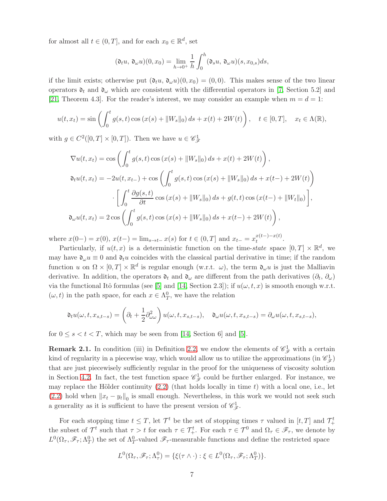for almost all  $t \in (0, T]$ , and for each  $x_0 \in \mathbb{R}^d$ , set

$$
(\mathfrak{d}_t u, \mathfrak{d}_\omega u)(0, x_0) = \lim_{h \to 0^+} \frac{1}{h} \int_0^h (\mathfrak{d}_s u, \mathfrak{d}_\omega u)(s, x_{0,s}) ds,
$$

if the limit exists; otherwise put  $(\mathfrak{d}_t u, \mathfrak{d}_\omega u)(0, x_0) = (0, 0)$ . This makes sense of the two linear operators  $\mathfrak{d}_t$  and  $\mathfrak{d}_\omega$  which are consistent with the differential operators in [\[7,](#page-23-1) Section 5.2] and [\[21,](#page-24-3) Theorem 4.3]. For the reader's interest, we may consider an example when  $m = d = 1$ :

$$
u(t, x_t) = \sin\left(\int_0^t g(s, t) \cos(x(s) + \|W_s\|_0) ds + x(t) + 2W(t)\right), \quad t \in [0, T], \quad x_t \in \Lambda(\mathbb{R}),
$$

with  $g \in C^2([0,T] \times [0,T])$ . Then we have  $u \in \mathscr{C}_{\mathscr{F}}^1$ 

$$
\nabla u(t, x_t) = \cos \left( \int_0^t g(s, t) \cos (x(s) + ||W_s||_0) ds + x(t) + 2W(t) \right),
$$
  

$$
\mathfrak{d}_t u(t, x_t) = -2u(t, x_{t-}) + \cos \left( \int_0^t g(s, t) \cos (x(s) + ||W_s||_0) ds + x(t-) + 2W(t) \right)
$$
  

$$
\cdot \left[ \int_0^t \frac{\partial g(s, t)}{\partial t} \cos (x(s) + ||W_s||_0) ds + g(t, t) \cos (x(t-) + ||W_t||_0) \right],
$$
  

$$
\mathfrak{d}_\omega u(t, x_t) = 2 \cos \left( \int_0^t g(s, t) \cos (x(s) + ||W_s||_0) ds + x(t-) + 2W(t) \right),
$$

where  $x(0-) = x(0)$ ,  $x(t-) = \lim_{s \to t-} x(s)$  for  $t \in (0,T]$  and  $x_{t-} = x_t^{x(t-)-x(t)}$ .

Particularly, if  $u(t, x)$  is a deterministic function on the time-state space  $[0, T] \times \mathbb{R}^d$ , we may have  $\mathfrak{d}_{\omega}u \equiv 0$  and  $\mathfrak{d}_t u$  coincides with the classical partial derivative in time; if the random function u on  $\Omega \times [0,T] \times \mathbb{R}^d$  is regular enough (w.r.t.  $\omega$ ), the term  $\mathfrak{d}_{\omega} u$  is just the Malliavin derivative. In addition, the operators  $\mathfrak{d}_t$  and  $\mathfrak{d}_\omega$  are different from the path derivatives  $(\partial_t, \partial_\omega)$ via the functional Itô formulas (see [\[5\]](#page-23-8) and [\[14,](#page-24-0) Section 2.3]); if  $u(\omega, t, x)$  is smooth enough w.r.t.  $(\omega, t)$  in the path space, for each  $x \in \Lambda_T^0$ , we have the relation

$$
\mathfrak{d}_{t}u(\omega,t,x_{s,t-s})=\left(\partial_{t}+\frac{1}{2}\partial_{\omega\omega}^{2}\right)u(\omega,t,x_{s,t-s}),\quad\mathfrak{d}_{\omega}u(\omega,t,x_{s,t-s})=\partial_{\omega}u(\omega,t,x_{s,t-s}),
$$

for  $0 \leq s < t < T$ , which may be seen from [\[14,](#page-24-0) Section 6] and [\[5\]](#page-23-8).

**Remark 2.1.** In condition (iii) in Definition [2.2,](#page-5-0) we endow the elements of  $\mathscr{C}_{\mathscr{F}}^1$  with a certain kind of regularity in a piecewise way, which would allow us to utilize the approximations (in  $\mathscr{C}_{\mathscr{F}}^1$ ) that are just piecewisely sufficiently regular in the proof for the uniqueness of viscosity solution in Section [4.2.](#page-16-0) In fact, the test function space  $\mathscr{C}_{\mathscr{F}}^1$  could be further enlarged. For instance, we may replace the Hölder continuity  $(2.2)$  (that holds locally in time t) with a local one, i.e., let [\(2.2\)](#page-5-2) hold when  $||x_t - y_t||_0$  is small enough. Nevertheless, in this work we would not seek such a generality as it is sufficient to have the present version of  $\mathscr{C}_{\mathscr{F}}^1$ .

For each stopping time  $t \leq T$ , let  $\mathcal{T}^t$  be the set of stopping times  $\tau$  valued in  $[t, T]$  and  $\mathcal{T}^t_+$ the subset of  $\mathcal{T}^t$  such that  $\tau > t$  for each  $\tau \in \mathcal{T}^t_+$ . For each  $\tau \in \mathcal{T}^0$  and  $\Omega_\tau \in \mathscr{F}_\tau$ , we denote by  $L^0(\Omega_\tau, \mathscr{F}_\tau; \Lambda^0_T)$  the set of  $\Lambda^0_T$ -valued  $\mathscr{F}_\tau$ -measurable functions and define the restricted space

$$
L^{0}(\Omega_{\tau}, \mathscr{F}_{\tau}; \Lambda^{0}_{\tau}) = \{ \xi(\tau \wedge \cdot) : \xi \in L^{0}(\Omega_{\tau}, \mathscr{F}_{\tau}; \Lambda^{0}_{T}) \}.
$$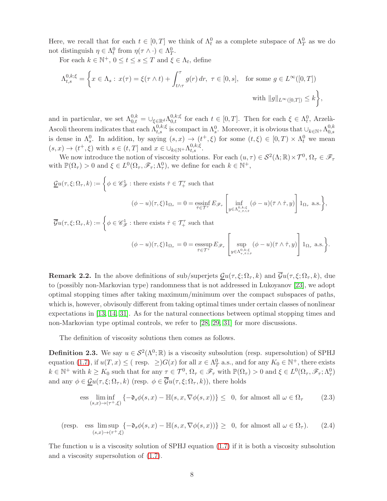Here, we recall that for each  $t \in [0, T]$  we think of  $\Lambda_t^0$  as a complete subspace of  $\Lambda_T^0$  as we do not distinguish  $\eta \in \Lambda_t^0$  from  $\eta(\tau \wedge \cdot) \in \Lambda_T^0$ .

For each  $k \in \mathbb{N}^+$ ,  $0 \le t \le s \le T$  and  $\xi \in \Lambda_t$ , define

$$
\Lambda_{t,s}^{0,k;\xi} = \left\{ x \in \Lambda_s : x(\tau) = \xi(\tau \wedge t) + \int_{t \wedge \tau}^{\tau} g(r) dr, \ \tau \in [0, s], \text{ for some } g \in L^{\infty}([0, T]) \right\}
$$
  
with  $||g||_{L^{\infty}([0, T])} \le k \left\}$ ,

and in particular, we set  $\Lambda_{0,t}^{0,k} = \bigcup_{\xi \in \mathbb{R}^d} \Lambda_{0,t}^{0,k;\xi}$  for each  $t \in [0,T]$ . Then for each  $\xi \in \Lambda_t^0$ , Arzelà-Ascoli theorem indicates that each  $\Lambda_{t,s}^{0,k;\xi}$  is compact in  $\Lambda_s^0$ . Moreover, it is obvious that  $\cup_{k\in\mathbb{N}^+}\Lambda_{0,s}^{0,k}$  $_{0,s}$ is dense in  $\Lambda_s^0$ . In addition, by saying  $(s, x) \to (t^+, \xi)$  for some  $(t, \xi) \in [0, T) \times \Lambda_t^0$  we mean  $(s, x) \to (t^+, \xi)$  with  $s \in (t, T]$  and  $x \in \bigcup_{k \in \mathbb{N}^+} \Lambda_{t, s}^{0, k; \xi}$ .

We now introduce the notion of viscosity solutions. For each  $(u, \tau) \in S^2(\Lambda; \mathbb{R}) \times \mathcal{T}^0$ ,  $\Omega_{\tau} \in \mathscr{F}_{\tau}$ with  $\mathbb{P}(\Omega_{\tau}) > 0$  and  $\xi \in L^0(\Omega_{\tau}, \mathscr{F}_{\tau}; \Lambda^0_{\tau})$ , we define for each  $k \in \mathbb{N}^+$ ,

$$
\underline{\mathcal{G}}u(\tau,\xi;\Omega_{\tau},k) := \left\{\phi \in \mathscr{C}_{\mathscr{F}}^1: \text{ there exists } \hat{\tau} \in \mathcal{T}_+^{\tau} \text{ such that} \right.
$$

$$
(\phi - u)(\tau,\xi)1_{\Omega_{\tau}} = 0 = \underset{\bar{\tau} \in \mathcal{T}^{\tau}}{\text{essinf}} E_{\mathscr{F}_{\tau}} \left[ \underset{y \in \Lambda_{\tau,\tau \wedge \hat{\tau}}^{0,k;\xi}}{\inf} (\phi - u)(\bar{\tau} \wedge \hat{\tau},y) \right] 1_{\Omega_{\tau}} \text{ a.s.} \right\},
$$

$$
\overline{\mathcal{G}}u(\tau,\xi;\Omega_{\tau},k) := \left\{\phi \in \mathscr{C}_{\mathscr{F}}^1: \text{there exists } \hat{\tau} \in \mathcal{T}_+^{\tau} \text{ such that } \right\}.
$$

$$
(\phi - u)(\tau, \xi)1_{\Omega_{\tau}} = 0 = \operatorname*{ess\,sup}_{\bar{\tau} \in \mathcal{T}^{\tau}} E_{\mathscr{F}_{\tau}} \left[ \sup_{y \in \Lambda_{\tau, \bar{\tau} \wedge \hat{\tau}}^{0, k; \xi}} (\phi - u)(\bar{\tau} \wedge \hat{\tau}, y) \right] 1_{\Omega_{\tau}} \text{ a.s.} \bigg\}.
$$

**Remark 2.2.** In the above definitions of sub/superjets  $\mathcal{G}u(\tau,\xi;\Omega_\tau,k)$  and  $\overline{\mathcal{G}}u(\tau,\xi;\Omega_\tau,k)$ , due to (possibly non-Markovian type) randomness that is not addressed in Lukoyanov [\[23\]](#page-24-1), we adopt optimal stopping times after taking maximum/minimum over the compact subspaces of paths, which is, however, obvisouly different from taking optimal times under certain classes of nonlinear expectations in [\[13,](#page-24-9) [14,](#page-24-0) [31\]](#page-25-3). As for the natural connections between optimal stopping times and non-Markovian type optimal controls, we refer to [\[28,](#page-24-10) [29,](#page-24-5) [31\]](#page-25-3) for more discussions.

The definition of viscosity solutions then comes as follows.

<span id="page-7-0"></span>**Definition 2.3.** We say  $u \in \mathcal{S}^2(\Lambda^0; \mathbb{R})$  is a viscosity subsolution (resp. supersolution) of SPHJ equation [\(1.7\)](#page-2-0), if  $u(T, x) \leq ($ resp.  $\geq) G(x)$  for all  $x \in \Lambda_T^0$  a.s., and for any  $K_0 \in \mathbb{N}^+$ , there exists  $k \in \mathbb{N}^+$  with  $k \geq K_0$  such that for any  $\tau \in \mathcal{T}^0$ ,  $\Omega_\tau \in \mathscr{F}_\tau$  with  $\mathbb{P}(\Omega_\tau) > 0$  and  $\xi \in L^0(\Omega_\tau, \mathscr{F}_\tau; \Lambda^0_\tau)$ and any  $\phi \in \mathcal{G}u(\tau,\xi;\Omega_\tau,k)$  (resp.  $\phi \in \overline{\mathcal{G}}u(\tau,\xi;\Omega_\tau,k)$ ), there holds

<span id="page-7-2"></span><span id="page-7-1"></span>ess 
$$
\liminf_{(s,x)\to(\tau^+,\xi)} \{-\mathfrak{d}_s \phi(s,x) - \mathbb{H}(s,x,\nabla \phi(s,x))\} \leq 0
$$
, for almost all  $\omega \in \Omega_\tau$  (2.3)

$$
(\text{resp.} \quad \text{ess}\limsup_{(s,x)\to(\tau^+,\xi)}\{-\mathfrak{d}_s\phi(s,x)-\mathbb{H}(s,x,\nabla\phi(s,x))\}\geq 0,\text{ for almost all }\omega\in\Omega_\tau). \tag{2.4}
$$

The function  $u$  is a viscosity solution of SPHJ equation [\(1.7\)](#page-2-0) if it is both a viscosity subsolution and a viscosity supersolution of [\(1.7\)](#page-2-0).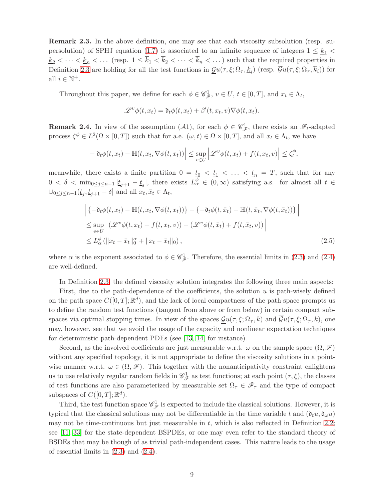<span id="page-8-1"></span>**Remark 2.3.** In the above definition, one may see that each viscosity subsolution (resp. su-persolution) of SPHJ equation [\(1.7\)](#page-2-0) is associated to an infinite sequence of integers  $1 \leq k_1$  $\underline{k}_2 < \cdots < \underline{k}_n < \ldots$  (resp.  $1 \leq \overline{k}_1 < \overline{k}_2 < \cdots < \overline{k}_n < \ldots$ ) such that the required properties in Definition [2.3](#page-7-0) are holding for all the test functions in  $\underline{\mathcal{G}}u(\tau,\xi;\Omega_\tau,\underline{k}_i)$  (resp.  $\mathcal{G}u(\tau,\xi;\Omega_\tau,k_i)$ ) for all  $i \in \mathbb{N}^+$ .

Throughout this paper, we define for each  $\phi \in \mathscr{C}_{\mathscr{F}}^1$ ,  $v \in U$ ,  $t \in [0,T]$ , and  $x_t \in \Lambda_t$ ,

$$
\mathscr{L}^v \phi(t, x_t) = \mathfrak{d}_t \phi(t, x_t) + \beta'(t, x_t, v) \nabla \phi(t, x_t).
$$

<span id="page-8-0"></span>**Remark 2.4.** In view of the assumption  $(A1)$ , for each  $\phi \in \mathscr{C}_{\mathscr{F}}^1$ , there exists an  $\mathscr{F}_t$ -adapted process  $\zeta^{\phi} \in L^2(\Omega \times [0,T])$  such that for a.e.  $(\omega, t) \in \Omega \times [0,T]$ , and all  $x_t \in \Lambda_t$ , we have

$$
\left| -\mathfrak{d}_t \phi(t, x_t) - \mathbb{H}(t, x_t, \nabla \phi(t, x_t)) \right| \leq \sup_{v \in U} \left| \mathcal{L}^v \phi(t, x_t) + f(t, x_t, v) \right| \leq \zeta_t^{\phi};
$$

meanwhile, there exists a finite partition  $0 = t_0 < t_1 < \ldots < t_n = T$ , such that for any  $0 < \delta < \min_{0 \leq j \leq n-1} |\underline{t}_{j+1} - \underline{t}_j|$ , there exists  $L^{\phi} \in (0, \infty)$  satisfying a.s. for almost all  $t \in$  $\cup_{0 \leq j \leq n-1} (\underline{t}_j, \underline{t}_{j+1} - \delta]$  and all  $x_t, \bar{x}_t \in \Lambda_t$ ,

$$
\begin{aligned}\n\left| \left\{ -\mathfrak{d}_t \phi(t, x_t) - \mathbb{H}(t, x_t, \nabla \phi(t, x_t)) \right\} - \left\{ -\mathfrak{d}_t \phi(t, \bar{x}_t) - \mathbb{H}(t, \bar{x}_t, \nabla \phi(t, \bar{x}_t)) \right\} \right| \\
&\leq \sup_{v \in U} \left| \left( \mathcal{L}^v \phi(t, x_t) + f(t, x_t, v) \right) - \left( \mathcal{L}^v \phi(t, \bar{x}_t) + f(t, \bar{x}_t, v) \right) \right| \\
&\leq L_\alpha^\phi \left( \| x_t - \bar{x}_t \|_0^\alpha + \| x_t - \bar{x}_t \|_0 \right),\n\end{aligned} \tag{2.5}
$$

where  $\alpha$  is the exponent associated to  $\phi \in \mathscr{C}_{\mathscr{F}}^1$ . Therefore, the essential limits in [\(2.3\)](#page-7-1) and [\(2.4\)](#page-7-2) are well-defined.

In Definition [2.3,](#page-7-0) the defined viscosity solution integrates the following three main aspects:

First, due to the path-dependence of the coefficients, the solution  $u$  is path-wisely defined on the path space  $C([0,T];\mathbb{R}^d)$ , and the lack of local compactness of the path space prompts us to define the random test functions (tangent from above or from below) in certain compact subspaces via optimal stopping times. In view of the spaces  $\mathcal{G}u(\tau,\xi;\Omega_\tau,k)$  and  $\overline{\mathcal{G}}u(\tau,\xi;\Omega_\tau,k)$ , one may, however, see that we avoid the usage of the capacity and nonlinear expectation techniques for deterministic path-dependent PDEs (see [\[13,](#page-24-9) [14\]](#page-24-0) for instance).

Second, as the involved coefficients are just measurable w.r.t.  $\omega$  on the sample space  $(\Omega, \mathscr{F})$ without any specified topology, it is not appropriate to define the viscosity solutions in a pointwise manner w.r.t.  $\omega \in (\Omega, \mathscr{F})$ . This together with the nonanticipativity constraint enlightens us to use relatively regular random fields in  $\mathscr{C}_{\mathscr{F}}^1$  as test functions; at each point  $(\tau,\xi)$ , the classes of test functions are also parameterized by measurable set  $\Omega_{\tau} \in \mathscr{F}_{\tau}$  and the type of compact subspaces of  $C([0,T];\mathbb{R}^d)$ .

Third, the test function space  $\mathscr{C}_{\mathscr{F}}^1$  is expected to include the classical solutions. However, it is typical that the classical solutions may not be differentiable in the time variable t and  $(\mathfrak{d}_t u, \mathfrak{d}_\omega u)$ may not be time-continuous but just measurable in  $t$ , which is also reflected in Definition [2.2;](#page-5-0) see [\[11,](#page-23-9) [33\]](#page-25-4) for the state-dependent BSPDEs, or one may even refer to the standard theory of BSDEs that may be though of as trivial path-independent cases. This nature leads to the usage of essential limits in  $(2.3)$  and  $(2.4)$ .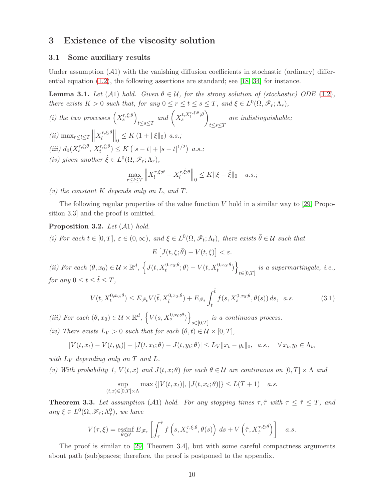## 3 Existence of the viscosity solution

#### 3.1 Some auxiliary results

Under assumption  $(A1)$  with the vanishing diffusion coefficients in stochastic (ordinary) differential equation  $(1.2)$ , the following assertions are standard; see [\[18,](#page-24-11) [34\]](#page-25-5) for instance.

<span id="page-9-2"></span>**Lemma 3.1.** Let  $(A1)$  hold. Given  $\theta \in \mathcal{U}$ , for the strong solution of (stochastic) ODE [\(1.2\)](#page-0-1), there exists  $K > 0$  such that, for any  $0 \le r \le t \le s \le T$ , and  $\xi \in L^0(\Omega, \mathscr{F}_r; \Lambda_r)$ ,

(i) the two processes 
$$
\left(X_s^{r,\xi;\theta}\right)_{t\leq s\leq T}
$$
 and  $\left(X_s^{t,X_t^{r,\xi;\theta};\theta}\right)_{t\leq s\leq T}$  are indistinguishable;  
\n(ii)  $\max_{r\leq l\leq T} \left\|X_l^{r,\xi;\theta}\right\|_0 \leq K\left(1+\|\xi\|_0\right)$  a.s.;  
\n(iii)  $d_0(X_s^{r,\xi;\theta}, X_t^{r,\xi;\theta}) \leq K\left(|s-t|+|s-t|^{1/2}\right)$  a.s.;  
\n(iv) given another  $\hat{\xi} \in L^0(\Omega, \mathscr{F}_r; \Lambda_r)$ ,  
\n
$$
\max_{r\leq l\leq T} \left\|X_l^{r,\xi;\theta} - X_l^{r,\hat{\xi};\theta}\right\|_0 \leq K\|\xi - \hat{\xi}\|_0 \quad a.s.;
$$

(v) the constant  $K$  depends only on  $L$ , and  $T$ .

The following regular properties of the value function  $V$  hold in a similar way to [\[29,](#page-24-5) Proposition 3.3] and the proof is omitted.

#### <span id="page-9-1"></span>**Proposition 3.2.** Let  $(\mathcal{A}1)$  hold.

(i) For each  $t \in [0,T]$ ,  $\varepsilon \in (0,\infty)$ , and  $\xi \in L^0(\Omega, \mathscr{F}_t; \Lambda_t)$ , there exists  $\overline{\theta} \in \mathcal{U}$  such that  $E\left[J(t,\xi;\bar{\theta})-V(t,\xi)\right]<\varepsilon.$ 

(ii) For each  $(\theta, x_0) \in \mathcal{U} \times \mathbb{R}^d$ ,  $\left\{ J(t, X_t^{0,x_0; \theta}; \theta) - V(t, X_t^{0,x_0; \theta}) \right\}$  $t \in [0,T]$ is a supermartingale, i.e., for any  $0 \leq t \leq \tilde{t} \leq T$ ,

$$
V(t, X_t^{0,x_0;\theta}) \le E_{\mathscr{F}_t} V(\tilde{t}, X_{\tilde{t}}^{0,x_0;\theta}) + E_{\mathscr{F}_t} \int_t^{\tilde{t}} f(s, X_s^{0,x_0;\theta}, \theta(s)) ds, \quad a.s.
$$
 (3.1)

(iii) For each  $(\theta, x_0) \in \mathcal{U} \times \mathbb{R}^d$ ,  $\left\{V(s, X_s^{0,x_0; \theta})\right\}$  $s \in [0,T]$ is a continuous process.

(iv) There exists  $L_V > 0$  such that for each  $(\theta, t) \in \mathcal{U} \times [0, T]$ ,

$$
|V(t, x_t) - V(t, y_t)| + |J(t, x_t; \theta) - J(t, y_t; \theta)| \leq L_V ||x_t - y_t||_0, \quad a.s., \quad \forall x_t, y_t \in \Lambda_t,
$$

with  $L_V$  depending only on T and L.

(v) With probability 1,  $V(t, x)$  and  $J(t, x; \theta)$  for each  $\theta \in \mathcal{U}$  are continuous on  $[0, T] \times \Lambda$  and

$$
\sup_{(t,x)\in[0,T]\times\Lambda} \max\left\{|V(t,x_t)|,\,|J(t,x_t;\theta)|\right\} \le L(T+1)\quad a.s.
$$

<span id="page-9-0"></span>**Theorem 3.3.** Let assumption (A1) hold. For any stopping times  $\tau$ ,  $\hat{\tau}$  with  $\tau \leq \hat{\tau} \leq T$ , and any  $\xi \in L^0(\Omega, \mathscr{F}_\tau; \Lambda^0_\tau)$ , we have

$$
V(\tau,\xi) = \underset{\theta \in \mathcal{U}}{\mathrm{essinf}} \, E_{\mathscr{F}_{\tau}} \left[ \int_{\tau}^{\hat{\tau}} f\left(s, X_s^{\tau,\xi;\theta}, \theta(s)\right) \, ds + V\left(\hat{\tau}, X_{\hat{\tau}}^{\tau,\xi;\theta}\right) \right] \quad a.s.
$$

The proof is similar to [\[29,](#page-24-5) Theorem 3.4], but with some careful compactness arguments about path (sub)spaces; therefore, the proof is postponed to the appendix.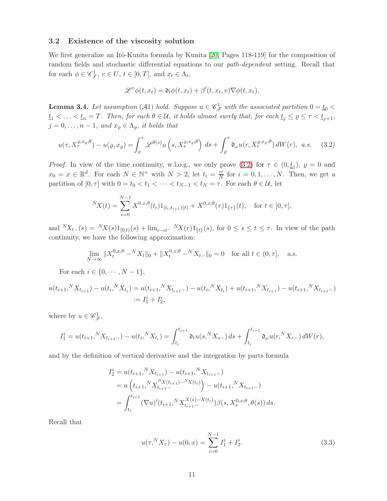#### 3.2 Existence of the viscosity solution

We first generalize an Itô-Kunita formula by Kunita [\[20,](#page-24-12) Pages 118-119] for the composition of random fields and stochastic differential equations to our path-dependent setting. Recall that for each  $\phi \in \mathscr{C}_{\mathscr{F}}^1$ ,  $v \in U$ ,  $t \in [0,T]$ , and  $x_t \in \Lambda_t$ ,

<span id="page-10-0"></span>
$$
\mathscr{L}^v \phi(t, x_t) = \mathfrak{d}_t \phi(t, x_t) + \beta'(t, x_t, v) \nabla \phi(t, x_t).
$$

<span id="page-10-1"></span>**Lemma 3.4.** Let assumption (A1) hold. Suppose  $u \in \mathscr{C}_{\mathscr{F}}^1$  with the associated partition  $0 = \underline{t}_0$  <  $t_1 < \ldots < t_n = T$ . Then, for each  $\theta \in \mathcal{U}$ , it holds almost surely that, for each  $t_j \leq \varrho \leq \tau < t_{j+1}$ ,  $j = 0, \ldots, n - 1$ , and  $x_{\varrho} \in \Lambda_{\varrho}$ , it holds that

$$
u(\tau, X_{\tau}^{\varrho, x_{\varrho}; \theta}) - u(\varrho, x_{\varrho}) = \int_{\varrho}^{\tau} \mathscr{L}^{\theta(s)} u\left(s, X_{s}^{\varrho, x_{\varrho}; \theta}\right) ds + \int_{\varrho}^{\tau} \mathfrak{d}_{\omega} u(r, X_{r}^{\varrho, x_{\varrho}; \theta}) dW(r), \quad a.s. \tag{3.2}
$$

*Proof.* In view of the time continuity, w.l.o.g., we only prove [\(3.2\)](#page-10-0) for  $\tau \in (0, \underline{t}_1)$ ,  $\varrho = 0$  and  $x_0 = x \in \mathbb{R}^d$ . For each  $N \in \mathbb{N}^+$  with  $N > 2$ , let  $t_i = \frac{i\tau}{N}$  $\frac{i\tau}{N}$  for  $i = 0, 1, \ldots, N$ . Then, we get a partition of  $[0, \tau]$  with  $0 = t_0 < t_1 < \cdots < t_{N-1} < t_N = \tau$ . For each  $\theta \in \mathcal{U}$ , let

$$
{}^{N}X(t) = \sum_{i=0}^{N-1} X^{0,x;\theta}(t_i) 1_{[t_i,t_{i+1})(t)} + X^{0,x;\theta}(\tau) 1_{\{\tau\}}(t), \text{ for } t \in [0,\tau],
$$

and  ${}^{N}X_{t-}(s) = {}^{N}X(s)1_{[0,t)}(s) + \lim_{r \to t^{-}} {}^{N}X(r)1_{\{t\}}(s)$ , for  $0 \le s \le t \le \tau$ . In view of the path continuity, we have the following approximation:

$$
\lim_{N \to \infty} \|X_t^{0,x;\theta} -^N X_t\|_0 + \|X_t^{0,x;\theta} -^N X_t\|_0 = 0 \quad \text{for all } t \in (0, \tau], \quad \text{a.s.}
$$

For each  $i \in \{0, \cdots, N-1\},\$ 

$$
u(t_{i+1},^N X_{t_{i+1}}) - u(t_i,^N X_{t_i}) = u(t_{i+1},^N X_{t_{i+1}-}) - u(t_i,^N X_{t_i}) + u(t_{i+1},^N X_{t_{i+1}}) - u(t_{i+1},^N X_{t_{i+1}-})
$$
  
:=  $I_1^i + I_2^i$ ,

where by  $u \in \mathscr{C}_{\mathscr{F}}^1$ ,

$$
I_1^i = u(t_{i+1},^N X_{t_{i+1}-}) - u(t_i,^N X_{t_i}) = \int_{t_i}^{t_{i+1}} \mathfrak{d}_t u(s,^N X_{s-}) ds + \int_{t_i}^{t_{i+1}} \mathfrak{d}_\omega u(r,^N X_{r-}) dW(r),
$$

and by the definition of vertical derivative and the integration by parts formula

$$
I_2^i = u(t_{i+1},^N X_{t_{i+1}}) - u(t_{i+1},^N X_{t_{i+1}}-)
$$
  
=  $u(t_{i+1},^N X_{t_{i+1}}^{N X(t_{i+1}) - N X(t_i)}) - u(t_{i+1},^N X_{t_{i+1}}-)$   
=  $\int_{t_i}^{t_{i+1}} (\nabla u)'(t_{i+1},^N X_{t_{i+1}}^{X(s) - X(t_i)}) \beta(s, X_s^{0,x;\theta}, \theta(s)) ds.$ 

Recall that

$$
u(\tau,^N X_\tau) - u(0, x) = \sum_{i=0}^{N-1} I_1^i + I_2^i.
$$
 (3.3)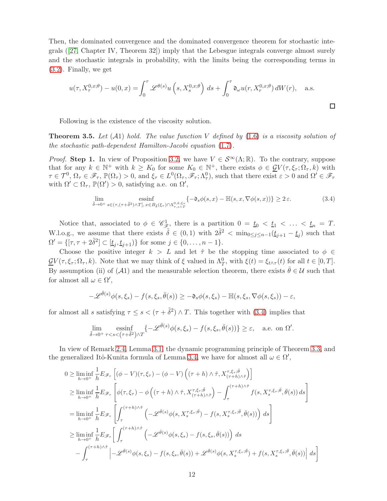Then, the dominated convergence and the dominated convergence theorem for stochastic integrals ([\[27,](#page-24-13) Chapter IV, Theorem 32]) imply that the Lebesgue integrals converge almost surely and the stochastic integrals in probability, with the limits being the corresponding terms in [\(3.2\)](#page-10-0). Finally, we get

$$
u(\tau, X_{\tau}^{0,x;\theta}) - u(0,x) = \int_0^{\tau} \mathcal{L}^{\theta(s)} u\left(s, X_s^{0,x;\theta}\right) ds + \int_0^{\tau} \mathfrak{d}_{\omega} u(r, X_r^{0,x;\theta}) dW(r), \quad \text{a.s.}
$$

<span id="page-11-0"></span> $\Box$ 

Following is the existence of the viscosity solution.

<span id="page-11-1"></span>**Theorem 3.5.** Let  $(A1)$  hold. The value function V defined by  $(1.6)$  is a viscosity solution of the stochastic path-dependent Hamilton-Jacobi equation [\(1.7\)](#page-2-0).

*Proof.* Step 1. In view of Proposition [3.2,](#page-9-1) we have  $V \in \mathcal{S}^{\infty}(\Lambda;\mathbb{R})$ . To the contrary, suppose that for any  $k \in \mathbb{N}^+$  with  $k \geq K_0$  for some  $K_0 \in \mathbb{N}^+$ , there exists  $\phi \in \mathcal{Q}V(\tau, \xi_\tau; \Omega_\tau, k)$  with  $\tau \in \mathcal{T}^0, \Omega_\tau \in \mathscr{F}_\tau, \mathbb{P}(\Omega_\tau) > 0$ , and  $\xi_\tau \in L^0(\Omega_\tau, \mathscr{F}_\tau; \Lambda^0_\tau)$ , such that there exist  $\varepsilon > 0$  and  $\Omega' \in \mathscr{F}_\tau$ with  $\Omega' \subset \Omega_{\tau}$ ,  $\mathbb{P}(\Omega') > 0$ , satisfying a.e. on  $\Omega'$ ,

$$
\lim_{\tilde{\delta}\to 0^+} \operatorname*{essinf}_{s\in(\tau,(\tau+\tilde{\delta}^2)\wedge T], x\in B_{\tilde{\delta}}(\xi_{\tau})\cap \Lambda_{\tau,s\wedge T}^{0,k;\xi_{\tau}}} \{-\mathfrak{d}_s \phi(s,x) - \mathbb{H}(s,x,\nabla \phi(s,x))\} \geq 2\,\varepsilon. \tag{3.4}
$$

Notice that, associated to  $\phi \in \mathscr{C}_{\mathscr{F}}^1$ , there is a partition  $0 = \underline{t}_0 < \underline{t}_1 < \ldots < \underline{t}_n = T$ . W.l.o.g., we assume that there exists  $\tilde{\delta} \in (0,1)$  with  $2\tilde{\delta}^2 < \min_{0 \leq j \leq n-1} (\underline{t}_{j+1} - \underline{t}_j)$  such that  $\Omega' = \{[\tau, \tau + 2\tilde{\delta}^2] \subset [\underline{t}_j, \underline{t}_{j+1})\}$  for some  $j \in \{0, \ldots, n-1\}.$ 

Choose the positive integer  $k > L$  and let  $\hat{\tau}$  be the stopping time associated to  $\phi \in$  $\underline{\mathcal{G}}V(\tau,\xi_{\tau};\Omega_{\tau},k)$ . Note that we may think of  $\xi$  valued in  $\Lambda_T^0$ , with  $\xi(t) = \xi_{t\wedge\tau}(t)$  for all  $t \in [0,T]$ . By assumption (ii) of (A1) and the measurable selection theorem, there exists  $\bar{\theta} \in \mathcal{U}$  such that for almost all  $\omega \in \Omega'$ ,

$$
-\mathscr{L}^{\bar{\theta}(s)}\phi(s,\xi_s)-f(s,\xi_s,\bar{\theta}(s))\geq-\mathfrak{d}_s\phi(s,\xi_s)-\mathbb{H}(s,\xi_s,\nabla\phi(s,\xi_s))-\varepsilon,
$$

for almost all s satisfying  $\tau \leq s < (\tau + \tilde{\delta}^2) \wedge T$ . This together with [\(3.4\)](#page-11-0) implies that

$$
\lim_{\tilde{\delta}\to 0^+} \operatorname{essinf}_{\tau < s < (\tau + \tilde{\delta}^2) \wedge T} \{ -\mathscr{L}^{\bar{\theta}(s)} \phi(s, \xi_s) - f(s, \xi_s, \bar{\theta}(s)) \} \ge \varepsilon, \quad \text{a.e. on } \Omega'.
$$

In view of Remark [2.4,](#page-8-0) Lemma [3.1,](#page-9-2) the dynamic programming principle of Theorem [3.3,](#page-9-0) and the generalized Itô-Kunita formula of Lemma [3.4,](#page-10-1) we have for almost all  $\omega \in \Omega'$ ,

$$
0 \geq \liminf_{h \to 0^{+}} \frac{1}{h} E_{\mathscr{F}_{\tau}} \left[ (\phi - V)(\tau, \xi_{\tau}) - (\phi - V) \left( (\tau + h) \wedge \hat{\tau}, X_{(\tau + h) \wedge \hat{\tau}}^{\tau, \xi_{\tau}; \bar{\theta}} \right) \right]
$$
  
\n
$$
\geq \liminf_{h \to 0^{+}} \frac{1}{h} E_{\mathscr{F}_{\tau}} \left[ \phi(\tau, \xi_{\tau}) - \phi \left( (\tau + h) \wedge \hat{\tau}, X_{(\tau + h) \wedge \hat{\tau}}^{\tau, \xi_{\tau}; \bar{\theta}} \right) - \int_{\tau}^{(\tau + h) \wedge \hat{\tau}} f(s, X_{s}^{\tau, \xi_{\tau}; \bar{\theta}}, \bar{\theta}(s)) ds \right]
$$
  
\n
$$
= \liminf_{h \to 0^{+}} \frac{1}{h} E_{\mathscr{F}_{\tau}} \left[ \int_{\tau}^{(\tau + h) \wedge \hat{\tau}} \left( -\mathscr{L}^{\bar{\theta}(s)} \phi(s, X_{s}^{\tau, \xi_{\tau}; \bar{\theta}}) - f(s, X_{s}^{\tau, \xi_{\tau}; \bar{\theta}}, \bar{\theta}(s)) \right) ds \right]
$$
  
\n
$$
\geq \liminf_{h \to 0^{+}} \frac{1}{h} E_{\mathscr{F}_{\tau}} \left[ \int_{\tau}^{(\tau + h) \wedge \hat{\tau}} \left( -\mathscr{L}^{\bar{\theta}(s)} \phi(s, \xi_{s}) - f(s, \xi_{s}, \bar{\theta}(s)) \right) ds
$$
  
\n
$$
- \int_{\tau}^{(\tau + h) \wedge \hat{\tau}} \left| -\mathscr{L}^{\bar{\theta}(s)} \phi(s, \xi_{s}) - f(s, \xi_{s}, \bar{\theta}(s)) + \mathscr{L}^{\bar{\theta}(s)} \phi(s, X_{s}^{\tau, \xi_{\tau}; \bar{\theta}}) + f(s, X_{s}^{\tau, \xi_{\tau}; \bar{\theta}}, \bar{\theta}(s)) \right| ds \right]
$$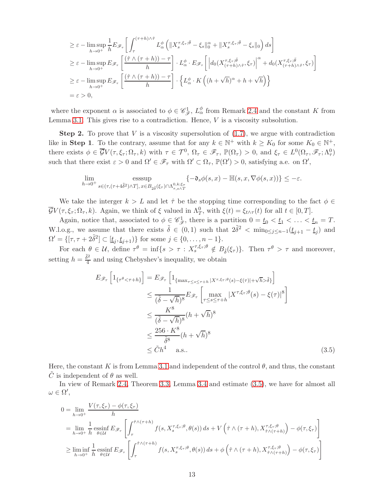$$
\geq \varepsilon - \limsup_{h \to 0^{+}} \frac{1}{h} E_{\mathscr{F}_{\tau}} \left[ \int_{\tau}^{(\tau+h)\wedge\hat{\tau}} L_{\alpha}^{\phi} \left( \|X_{s}^{\tau,\xi_{\tau};\bar{\theta}} - \xi_{s}\|_{0}^{\alpha} + \|X_{s}^{\tau,\xi_{\tau};\bar{\theta}} - \xi_{s}\|_{0} \right) ds \right]
$$
  
\n
$$
\geq \varepsilon - \limsup_{h \to 0^{+}} E_{\mathscr{F}_{\tau}} \left[ \frac{(\hat{\tau} \wedge (\tau+h)) - \tau}{h} \right] \cdot L_{\alpha}^{\phi} \cdot E_{\mathscr{F}_{\tau}} \left[ \left| d_{0} (X_{(\tau+h)\wedge\hat{\tau}}^{\tau,\xi_{\tau};\bar{\theta}} , \xi_{\tau}) \right|^{\alpha} + d_{0} (X_{(\tau+h)\wedge\hat{\tau}}^{\tau,\xi_{\tau};\bar{\theta}} , \xi_{\tau}) \right]
$$
  
\n
$$
\geq \varepsilon - \limsup_{h \to 0^{+}} E_{\mathscr{F}_{\tau}} \left[ \frac{(\hat{\tau} \wedge (\tau+h)) - \tau}{h} \right] \cdot \left\{ L_{\alpha}^{\phi} \cdot K \left( (h + \sqrt{h})^{\alpha} + h + \sqrt{h} \right) \right\}
$$
  
\n
$$
= \varepsilon > 0,
$$

where the exponent  $\alpha$  is associated to  $\phi \in \mathscr{C}_{\mathscr{F}}^1$ ,  $L^{\phi}_{\alpha}$  from Remark [2.4](#page-8-0) and the constant K from Lemma [3.1.](#page-9-2) This gives rise to a contradiction. Hence,  $V$  is a viscosity subsolution.

**Step 2.** To prove that  $V$  is a viscosity supersolution of  $(1.7)$ , we argue with contradiction like in Step 1. To the contrary, assume that for any  $k \in \mathbb{N}^+$  with  $k \geq K_0$  for some  $K_0 \in \mathbb{N}^+$ , there exists  $\phi \in \overline{\mathcal{G}}V(\tau,\xi_{\tau};\Omega_{\tau},k)$  with  $\tau \in \mathcal{T}^0$ ,  $\Omega_{\tau} \in \mathscr{F}_{\tau}$ ,  $\mathbb{P}(\Omega_{\tau}) > 0$ , and  $\xi_{\tau} \in L^0(\Omega_{\tau},\mathscr{F}_{\tau};\Lambda^0_{\tau})$ such that there exist  $\varepsilon > 0$  and  $\Omega' \in \mathscr{F}_{\tau}$  with  $\Omega' \subset \Omega_{\tau}$ ,  $\mathbb{P}(\Omega') > 0$ , satisfying a.e. on  $\Omega'$ ,

$$
\lim_{h \to 0^+} \underset{s \in (\tau, (\tau + 4\tilde{\delta}^2) \wedge T], x \in B_{2\tilde{\delta}}(\xi_{\tau}) \cap \Lambda_{\tau, s \wedge T}^{0, k; \xi_{\tau}}}{} \{-\mathfrak{d}_s \phi(s, x) - \mathbb{H}(s, x, \nabla \phi(s, x))\} \leq -\varepsilon.
$$

We take the interger  $k > L$  and let  $\hat{\tau}$  be the stopping time corresponding to the fact  $\phi \in$  $\overline{\mathcal{G}}V(\tau,\xi_{\tau};\Omega_{\tau},k)$ . Again, we think of  $\xi$  valued in  $\Lambda_T^0$ , with  $\xi(t) = \xi_{t\wedge\tau}(t)$  for all  $t \in [0,T]$ .

Again, notice that, associated to  $\phi \in \mathscr{C}_{\mathscr{F}}^1$ , there is a partition  $0 = \underline{t}_0 < \underline{t}_1 < \ldots < \underline{t}_n = T$ . W.l.o.g., we assume that there exists  $\tilde{\delta} \in (0,1)$  such that  $2\tilde{\delta}^2 < \min_{0 \le j \le n-1} (\underline{t}_{j+1} - \underline{t}_j)$  and  $\Omega' = \{[\tau, \tau + 2\tilde{\delta}^2] \subset [\underline{t}_j, \underline{t}_{j+1})\}$  for some  $j \in \{0, \ldots, n-1\}.$ 

For each  $\theta \in \mathcal{U}$ , define  $\tau^{\theta} = \inf\{s > \tau : X_s^{\tau, \xi_{\tau}; \theta} \notin B_{\tilde{\delta}}(\xi_{\tau})\}\$ . Then  $\tau^{\theta} > \tau$  and moreover, setting  $h = \frac{\tilde{\delta}^2}{4}$  $\frac{\delta^2}{4}$  and using Chebyshev's inequality, we obtain

<span id="page-12-0"></span>
$$
E_{\mathscr{F}_{\tau}}\left[1_{\{\tau^{\theta} < \tau + h\}}\right] = E_{\mathscr{F}_{\tau}}\left[1_{\{\max_{\tau \le s \le \tau + h} |X^{\tau,\xi_{\tau};\theta}(s) - \xi(\tau)| + \sqrt{h} > \tilde{\delta}\}}\right]
$$
  
\n
$$
\le \frac{1}{(\tilde{\delta} - \sqrt{h})^{8}} E_{\mathscr{F}_{\tau}}\left[\max_{\tau \le s \le \tau + h} |X^{\tau,\xi_{\tau};\theta}(s) - \xi(\tau)|^{8}\right]
$$
  
\n
$$
\le \frac{K^{8}}{(\tilde{\delta} - \sqrt{h})^{8}} (h + \sqrt{h})^{8}
$$
  
\n
$$
\le \frac{256 \cdot K^{8}}{\tilde{\delta}^{8}} (h + \sqrt{h})^{8}
$$
  
\n
$$
\le \tilde{C} h^{4} \quad \text{a.s.} \tag{3.5}
$$

Here, the constant K is from Lemma [3.1](#page-9-2) and independent of the control  $\theta$ , and thus, the constant  $\ddot{C}$  is independent of  $\theta$  as well.

In view of Remark [2.4,](#page-8-0) Theorem [3.3,](#page-9-0) Lemma [3.4](#page-10-1) and estimate [\(3.5\)](#page-12-0), we have for almost all  $\omega \in \Omega',$ 

$$
0 = \lim_{h \to 0^{+}} \frac{V(\tau, \xi_{\tau}) - \phi(\tau, \xi_{\tau})}{h}
$$
  
\n
$$
= \lim_{h \to 0^{+}} \frac{1}{h} \operatorname{essinf}_{\theta \in \mathcal{U}} E_{\mathscr{F}_{\tau}} \left[ \int_{\tau}^{\hat{\tau} \wedge (\tau + h)} f(s, X_{s}^{\tau, \xi_{\tau}; \theta}, \theta(s)) ds + V \left( \hat{\tau} \wedge (\tau + h), X_{\hat{\tau} \wedge (\tau + h)}^{\tau, \xi_{\tau}; \theta} \right) - \phi(\tau, \xi_{\tau}) \right]
$$
  
\n
$$
\geq \liminf_{h \to 0^{+}} \frac{1}{h} \operatorname{essinf}_{\theta \in \mathcal{U}} E_{\mathscr{F}_{\tau}} \left[ \int_{\tau}^{\hat{\tau} \wedge (\tau + h)} f(s, X_{s}^{\tau, \xi_{\tau}; \theta}, \theta(s)) ds + \phi \left( \hat{\tau} \wedge (\tau + h), X_{\hat{\tau} \wedge (\tau + h)}^{\tau, \xi_{\tau}; \theta} \right) - \phi(\tau, \xi_{\tau}) \right]
$$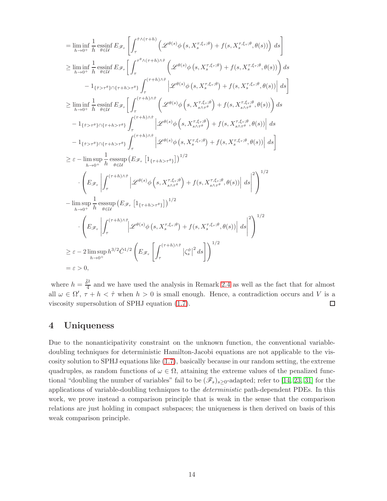$$
= \liminf_{h\to 0^{+}} \frac{1}{h} \operatorname*{essint}_{\theta \in \mathcal{U}} E_{\mathscr{F}_{\tau}} \left[ \int_{\tau}^{\hat{\tau}\wedge(\tau+h)} \left( \mathscr{L}^{\theta(s)}\phi\left(s,X_{s}^{\tau,\xi_{\tau};\theta}\right) + f(s,X_{s}^{\tau,\xi_{\tau};\theta},\theta(s)) \right) ds \right]
$$
\n
$$
\geq \liminf_{h\to 0^{+}} \frac{1}{h} \operatorname*{essint}_{\theta \in \mathcal{U}} E_{\mathscr{F}_{\tau}} \left[ \int_{\tau}^{\tau^{\theta}\wedge(\tau+h)\wedge\hat{\tau}} \left( \mathscr{L}^{\theta(s)}\phi\left(s,X_{s}^{\tau,\xi_{\tau};\theta}\right) + f(s,X_{s}^{\tau,\xi_{\tau};\theta},\theta(s)) \right) ds \right]
$$
\n
$$
= 1_{\{\hat{\tau}>\tau^{\theta}\}\cap\{\tau+h>\tau^{\theta}\}} \int_{\tau}^{(\tau+h)\wedge\hat{\tau}} \left[ \mathscr{L}^{\theta(s)}\phi\left(s,X_{s}^{\tau,\xi_{\tau};\theta}\right) + f(s,X_{s}^{\tau,\xi_{\tau};\theta},\theta(s)) \right] ds \right]
$$
\n
$$
\geq \liminf_{h\to 0^{+}} \frac{1}{h} \operatorname*{essint}_{\theta \in \mathcal{U}} E_{\mathscr{F}_{\tau}} \left[ \int_{\tau}^{(\tau+h)\wedge\hat{\tau}} \left( \mathscr{L}^{\theta(s)}\phi\left(s,X_{s\wedge\tau^{\theta}}^{\tau,\xi_{\tau};\theta}\right) + f(s,X_{s\wedge\tau^{\theta}}^{\tau,\xi_{\tau};\theta},\theta(s)) \right) ds \right]
$$
\n
$$
- 1_{\{\hat{\tau}>\tau^{\theta}\}\cap\{\tau+h>\tau^{\theta}\}} \int_{\tau}^{(\tau+h)\wedge\hat{\tau}} \left| \mathscr{L}^{\theta(s)}\phi\left(s,X_{s\wedge\tau^{\theta}}^{\tau,\xi_{\tau};\theta}\right) + f(s,X_{s\wedge\tau^{\theta}}^{\tau,\xi_{\tau};\theta},\theta(s)) \right| ds \right]
$$
\n
$$
\geq \varepsilon - \limsup_{h\to 0^{+}} \frac{1}{h} \operatorname*{esssup
$$

where  $h = \frac{\tilde{\delta}^2}{4}$  $\frac{1}{4}$  and we have used the analysis in Remark [2.4](#page-8-0) as well as the fact that for almost all  $\omega \in \Omega'$ ,  $\tau + h < \hat{\tau}$  when  $h > 0$  is small enough. Hence, a contradiction occurs and V is a viscosity supersolution of SPHJ equation [\(1.7\)](#page-2-0).  $\Box$ 

# 4 Uniqueness

Due to the nonanticipativity constraint on the unknown function, the conventional variabledoubling techniques for deterministic Hamilton-Jacobi equations are not applicable to the viscosity solution to SPHJ equations like [\(1.7\)](#page-2-0), basically because in our random setting, the extreme quadruples, as random functions of  $\omega \in \Omega$ , attaining the extreme values of the penalized functional "doubling the number of variables" fail to be  $(\mathscr{F}_s)_{s\geq 0}$ -adapted; refer to [\[14,](#page-24-0) [23,](#page-24-1) [31\]](#page-25-3) for the applications of variable-doubling techniques to the *deterministic* path-dependent PDEs. In this work, we prove instead a comparison principle that is weak in the sense that the comparison relations are just holding in compact subspaces; the uniqueness is then derived on basis of this weak comparison principle.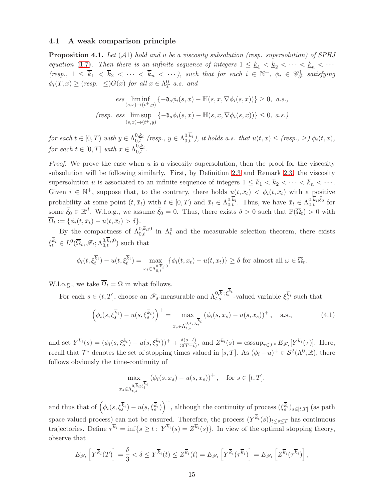#### 4.1 A weak comparison principle

<span id="page-14-0"></span>**Proposition 4.1.** Let  $(A1)$  hold and u be a viscosity subsolution (resp. supersolution) of SPHJ equation [\(1.7\)](#page-2-0). Then there is an infinite sequence of integers  $1 \leq k_1 < k_2 < \cdots < k_n < \cdots$ (resp.,  $1 \le \overline{k}_1 < \overline{k}_2 < \cdots < \overline{k}_n < \cdots$ ), such that for each  $i \in \mathbb{N}^+$ ,  $\phi_i \in \mathscr{C}_{\mathscr{F}}^1$  satisfying  $\phi_i(T, x) \geq (resp. \leq) G(x) \text{ for all } x \in \Lambda_T^0 \text{ a.s. and}$ 

$$
\text{ess}\liminf_{(s,x)\to(t^+,y)}\left\{-\mathfrak{d}_s\phi_i(s,x)-\mathbb{H}(s,x,\nabla\phi_i(s,x))\right\} \ge 0, \ a.s.,
$$
\n
$$
\text{(resp.} \ \text{ess}\limsup_{(s,x)\to(t^+,y)}\left\{-\mathfrak{d}_s\phi_i(s,x)-\mathbb{H}(s,x,\nabla\phi_i(s,x))\right\} \le 0, \ a.s.)
$$

 $for~ each~ t \in [0,T)~ with~ y \in \Lambda_{0,t}^{0,k_i}~ (resp.,~ y \in \Lambda_{0,t}^{0,\overline{k}_i}), ~it~ holds~ a.s.~ that~ u(t,x) \leq (resp.,~ \geq)~ \phi_i(t,x),$ for each  $t \in [0, T]$  with  $x \in \Lambda_{0,t}^{0, \underline{k}_i}$ .

*Proof.* We prove the case when u is a viscosity supersolution, then the proof for the viscosity subsolution will be following similarly. First, by Definition [2.3](#page-7-0) and Remark [2.3,](#page-8-1) the viscosity supersolution u is associated to an infinite sequence of integers  $1 \leq \overline{k}_1 < \overline{k}_2 < \cdots < \overline{k}_n < \cdots$ . Given  $i \in \mathbb{N}^+$ , suppose that, to the contrary, there holds  $u(t, \bar{x}_t) < \phi_i(t, \bar{x}_t)$  with a positive probability at some point  $(t, \bar{x}_t)$  with  $t \in [0, T)$  and  $\bar{x}_t \in \Lambda_{0,t}^{0, \bar{k}_i}$ . Thus, we have  $\bar{x}_t \in \Lambda_{0,t}^{0, \bar{k}_i; \bar{\xi}_0}$  for some  $\bar{\xi}_0 \in \mathbb{R}^d$ . W.l.o.g., we assume  $\bar{\xi}_0 = 0$ . Thus, there exists  $\delta > 0$  such that  $\mathbb{P}(\overline{\Omega}_t) > 0$  with  $\Omega_t := \{ \phi_i(t, \bar{x}_t) - u(t, \bar{x}_t) > \delta \}.$ 

By the compactness of  $\Lambda^{0,k}_{0,t}$  in  $\Lambda^0_t$  and the measurable selection theorem, there exists  $\xi_t^{k_i} \in L^0(\overline{\Omega}_t, \mathscr{F}_t; \Lambda_{0,t}^{0,k_i;0})$  such that

$$
\phi_i(t, \xi_t^{\overline{k}_i}) - u(t, \xi_t^{\overline{k}_i}) = \max_{x_t \in \Lambda_{0,t}^{0, \overline{k}_i; 0}} \{ \phi_i(t, x_t) - u(t, x_t) \} \ge \delta \text{ for almost all } \omega \in \overline{\Omega}_t.
$$

W.l.o.g., we take  $\overline{\Omega}_t = \Omega$  in what follows.

For each  $s \in (t, T]$ , choose an  $\mathscr{F}_s$ -measurable and  $\Lambda_{t,s}^{0,\overline{k}_i;\xi_t^{k_i}}$ -valued variable  $\xi_s^{\overline{k}_i}$  such that

$$
\left(\phi_i(s,\xi_s^{\overline{k}_i}) - u(s,\xi_s^{\overline{k}_i})\right)^+ = \max_{x_s \in \Lambda_{t,s}^{0,\overline{k}_i;\xi_t^{\overline{k}_i}}} \left(\phi_i(s,x_s) - u(s,x_s)\right)^+, \quad \text{a.s.},\tag{4.1}
$$

and set  $Y^{\overline{k}_i}(s) = (\phi_i(s, \xi_s^{\overline{k}_i}) - u(s, \xi_s^{\overline{k}_i}))^+ + \frac{\delta(s-t)}{3(T-t)}$  $\frac{\delta(s-t)}{3(T-t)}$ , and  $Z^{k_i}(s) = \operatorname{esssup}_{\tau \in \mathcal{T}^s} E_{\mathscr{F}_s}[Y^{k_i}(\tau)].$  Here, recall that  $\mathcal{T}^s$  denotes the set of stopping times valued in [s, T]. As  $(\phi_i - u)^+ \in \mathcal{S}^2(\Lambda^0; \mathbb{R})$ , there follows obviously the time-continuity of

$$
\max_{x_s \in \Lambda_{t,s}^{0,\overline{k}_i;\xi_t^{\overline{k}_i}}} (\phi_i(s, x_s) - u(s, x_s))^+, \text{ for } s \in [t, T],
$$

and thus that of  $(\phi_i(s, \xi_s^{\overline{k}_i}) - u(s, \xi_s^{\overline{k}_i}))^+$ , although the continuity of process  $(\xi_s^{\overline{k}_i})_{s \in [t,T]}$  (as path space-valued process) can not be ensured. Therefore, the process  $(Y^{k_i}(s))_{t\leq s\leq T}$  has continuous trajectories. Define  $\tau^{k_i} = \inf\{s \ge t : Y^{k_i}(s) = Z^{k_i}(s)\}\.$  In view of the optimal stopping theory, observe that

$$
E_{\mathscr{F}_t}\left[Y^{\overline{k}_i}(T)\right] = \frac{\delta}{3} < \delta \le Y^{\overline{k}_i}(t) \le Z^{\overline{k}_i}(t) = E_{\mathscr{F}_t}\left[Y^{\overline{k}_i}(\tau^{\overline{k}_i})\right] = E_{\mathscr{F}_t}\left[Z^{\overline{k}_i}(\tau^{\overline{k}_i})\right],
$$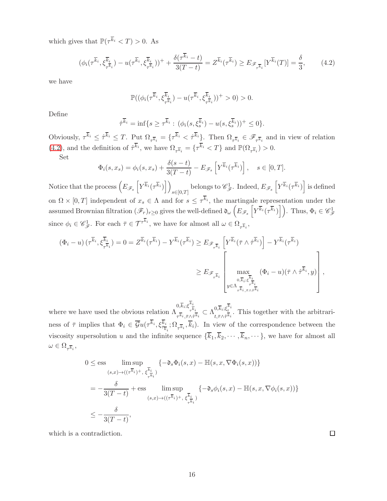which gives that  $\mathbb{P}(\tau^{\overline{k}_i} < T) > 0$ . As

$$
(\phi_i(\tau^{\overline{k}_i}, \xi_{\tau^{\overline{k}_i}}^{\overline{k}_i}) - u(\tau^{\overline{k}_i}, \xi_{\tau^{\overline{k}_i}}^{\overline{k}_i}))^+ + \frac{\delta(\tau^{\overline{k}_i} - t)}{3(T - t)} = Z^{\overline{k}_i}(\tau^{\overline{k}_i}) \ge E_{\mathscr{F}_{\tau^{\overline{k}_i}}} [Y^{\overline{k}_i}(T)] = \frac{\delta}{3},\qquad(4.2)
$$

we have

<span id="page-15-0"></span>
$$
\mathbb{P}((\phi_i(\tau^{\overline{k}_i},\xi^{\overline{k}_i}_{\tau^{\overline{k}_i}})-u(\tau^{\overline{k}_i},\xi^{\overline{k}_i}_{\tau^{\overline{k}_i}}))^{+}>0)>0.
$$

Define

$$
\hat{\tau}^{\overline{k}_i} = \inf\{s \geq \tau^{\overline{k}_i} : (\phi_i(s, \xi_s^{\overline{k}_i}) - u(s, \xi_s^{\overline{k}_i}))^+ \leq 0\}.
$$

Obviously,  $\tau^{\overline{k}_i} \leq \hat{\tau}^{\overline{k}_i} \leq T$ . Put  $\Omega_{\tau^{\overline{k}_i}} = {\{\tau^{\overline{k}_i} < \hat{\tau}^{\overline{k}_i}\} }$ . Then  $\Omega_{\tau^{\overline{k}_i}} \in \mathscr{F}_{\tau^{\overline{k}_i}}$  and in view of relation [\(4.2\)](#page-15-0), and the definition of  $\hat{\tau}^{\overline{k}_i}$ , we have  $\Omega_{\tau^{\overline{k}_i}} = {\tau^{\overline{k}_i} < T}$  and  $\mathbb{P}(\Omega_{\tau^{\overline{k}_i}}) > 0$ .

Set

$$
\Phi_i(s, x_s) = \phi_i(s, x_s) + \frac{\delta(s - t)}{3(T - t)} - E_{\mathscr{F}_s} \left[ Y^{\overline{k}_i}(\tau^{\overline{k}_i}) \right], \quad s \in [0, T].
$$

Notice that the process  $(E_{\mathscr{F}_s} \left[ Y^{\overline{k}_i}(\tau^{\overline{k}_i}) \right]$  $s \in [0,T]$ belongs to  $\mathscr{C}_{\mathscr{F}}^1$ . Indeed,  $E_{\mathscr{F}_s} \left[ Y^{\overline{k}_i} (\tau^{\overline{k}_i}) \right]$  is defined on  $\Omega \times [0, T]$  independent of  $x_s \in \Lambda$  and for  $s \leq \tau^{k_i}$ , the martingale representation under the assumed Brownian filtration  $(\mathscr{F}_r)_{r\geq 0}$  gives the well-defined  $\mathfrak{d}_{\omega}\left(E_{\mathscr{F}_s}\left[Y^{\overline{k}_i}(\tau^{\overline{k}_i})\right]\right)$ . Thus,  $\Phi_i \in \mathscr{C}_{\mathscr{F}}^1$ since  $\phi_i \in \mathscr{C}_{\mathscr{F}}^1$ . For each  $\bar{\tau} \in \mathcal{T}^{\tau^{k_i}}$ , we have for almost all  $\omega \in \Omega_{\tau^{\overline{k}_i}}$ ,

$$
(\Phi_i - u) \left( \tau^{\overline{k}_i}, \xi^{\overline{k}_i}_{\tau^{\overline{k}_i}} \right) = 0 = Z^{\overline{k}_i}(\tau^{\overline{k}_i}) - Y^{\overline{k}_i}(\tau^{\overline{k}_i}) \ge E_{\mathscr{F}_{\tau^{\overline{k}_i}}} \left[ Y^{\overline{k}_i}(\bar{\tau} \wedge \hat{\tau}^{\overline{k}_i}) \right] - Y^{\overline{k}_i}(\tau^{\overline{k}_i})
$$

$$
\ge E_{\mathscr{F}_{\tau^{\overline{k}_i}}} \left[ \max_{\substack{0, \overline{k}_i; \xi^{\overline{k}_i}_{\tau^{\overline{k}_i}} \\ y \in \Lambda_{\tau^{\overline{k}_i}, \bar{\tau} \wedge \hat{\tau}^{\overline{k}_i}}} \left( \Phi_i - u \right) (\bar{\tau} \wedge \hat{\tau}^{\overline{k}_i}, y) \right],
$$

where we have used the obvious relation  $\Lambda$  $0,\overline{k}_i;\xi^k{}^i_{\overline{\iota}}$  $\tau^{k}$ <sub>i</sub>  $\frac{0,k_i;\xi\frac{r}{\tau^k i}}{\tau^{\overline{k}}_i,\bar\tau\wedge\hat\tau^{\overline{k}}_i}\subset \Lambda^{0,\overline{k}_i;\xi_t^{k_i}}_{t,\bar\tau\wedge\hat\tau^{\overline{k}}_i}$  $\frac{\partial \mu_i, \zeta_t}{\partial t, \bar{\tau} \wedge \hat{\tau} \bar{k}_i}$ . This together with the arbitrariness of  $\bar{\tau}$  implies that  $\Phi_i \in \bar{\mathcal{G}}u(\tau^{k_i}, \xi^{k_i}_{\bar{\tau}_{\bar{k}_i}}; \Omega_{\tau^{\bar{k}_i}}, \bar{k}_i)$ . In view of the correspondence between the viscosity supersolution u and the infinite sequence  $\{\overline{k}_1, \overline{k}_2, \cdots, \overline{k}_n, \cdots\}$ , we have for almost all  $\omega \in \Omega_{\tau^{\overline{k}_i}}$  ,

$$
0 \le \text{ess} \limsup_{(s,x)\to((\tau^{\overline{k}_i})^+,\ \xi^{\overline{k}_i}_{\tau^{\overline{k}_i}})} \{-\mathfrak{d}_s \Phi_i(s,x) - \mathbb{H}(s,x,\nabla \Phi_i(s,x))\}
$$
  

$$
= -\frac{\delta}{3(T-t)} + \text{ess} \limsup_{(s,x)\to((\tau^{\overline{k}_i})^+,\ \xi^{\overline{k}_i}_{\tau^{\overline{k}_i}})} \{-\mathfrak{d}_s \phi_i(s,x) - \mathbb{H}(s,x,\nabla \phi_i(s,x))\}
$$
  

$$
\le -\frac{\delta}{3(T-t)},
$$

which is a contradiction.

 $\Box$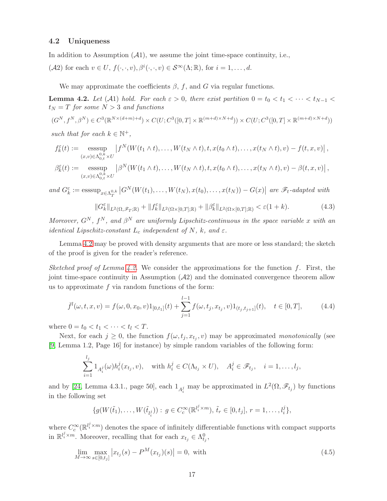#### <span id="page-16-0"></span>4.2 Uniqueness

In addition to Assumption  $(A1)$ , we assume the joint time-space continuity, i.e.,

(A2) for each  $v \in U$ ,  $f(\cdot, \cdot, v), \beta^{i}(\cdot, \cdot, v) \in S^{\infty}(\Lambda; \mathbb{R})$ , for  $i = 1, ..., d$ .

We may approximate the coefficients  $\beta$ , f, and G via regular functions.

<span id="page-16-1"></span>**Lemma 4.2.** Let (A1) hold. For each  $\varepsilon > 0$ , there exist partition  $0 = t_0 < t_1 < \cdots < t_{N-1} <$  $t_N = T$  for some  $N > 3$  and functions

$$
(G^N, f^N, \beta^N) \in C^3(\mathbb{R}^{N \times (d+m)+d}) \times C(U; C^3([0, T] \times \mathbb{R}^{(m+d) \times N+d})) \times C(U; C^3([0, T] \times \mathbb{R}^{(m+d) \times N+d}))
$$

such that for each  $k \in \mathbb{N}^+$ ,

$$
f_k^{\varepsilon}(t) := \operatorname*{esssup}_{(x,v)\in\Lambda_{0,t}^{0,k}\times U} \left|f^N(W(t_1\wedge t),\ldots,W(t_N\wedge t),t,x(t_0\wedge t),\ldots,x(t_N\wedge t),v)-f(t,x,v)\right|,
$$

$$
\beta_k^{\varepsilon}(t) := \operatorname*{esssup}_{(x,v)\in\Lambda_{0,t}^{0,k}\times U} \left| \beta^N(W(t_1\wedge t),\ldots,W(t_N\wedge t),t,x(t_0\wedge t),\ldots,x(t_N\wedge t),v) - \beta(t,x,v) \right|,
$$

and  $G_k^{\varepsilon} := \operatorname{esssup}_{x \in \Lambda_T^{0,k}} |G^N(W(t_1), \ldots, W(t_N), x(t_0), \ldots, x(t_N)) - G(x)|$  are  $\mathscr{F}_t$ -adapted with

<span id="page-16-2"></span>
$$
||G_k^{\varepsilon}||_{L^2(\Omega,\mathscr{F}_T;\mathbb{R})} + ||f_k^{\varepsilon}||_{L^2(\Omega\times[0,T];\mathbb{R})} + ||\beta_k^{\varepsilon}||_{L^2(\Omega\times[0,T];\mathbb{R})} < \varepsilon(1+k). \tag{4.3}
$$

Moreover,  $G^N$ ,  $f^N$ , and  $\beta^N$  are uniformly Lipschitz-continuous in the space variable x with an identical Lipschitz-constant  $L_c$  independent of N, k, and  $\varepsilon$ .

Lemma [4.2](#page-16-1) may be proved with density arguments that are more or less standard; the sketch of the proof is given for the reader's reference.

Sketched proof of Lemma  $4.2$ . We consider the approximations for the function f. First, the joint time-space continuity in Assumption  $(A2)$  and the dominated convergence theorem allow us to approximate  $f$  via random functions of the form:

$$
\bar{f}^{l}(\omega, t, x, v) = f(\omega, 0, x_0, v)1_{[0, t_1]}(t) + \sum_{j=1}^{l-1} f(\omega, t_j, x_{t_j}, v)1_{(t_j, t_{j+1}]}(t), \quad t \in [0, T], \tag{4.4}
$$

where  $0 = t_0 < t_1 < \cdots < t_l < T$ .

Next, for each  $j \geq 0$ , the function  $f(\omega, t_j, x_{t_j}, v)$  may be approximated monotonically (see [\[9,](#page-23-10) Lemma 1.2, Page 16] for instance) by simple random variables of the following form:

<span id="page-16-3"></span>
$$
\sum_{i=1}^{l_j} 1_{A_i^j}(\omega) h_i^j(x_{t_j}, v), \quad \text{with } h_i^j \in C(\Lambda_{t_j} \times U), \quad A_i^j \in \mathcal{F}_{t_j}, \quad i = 1, \dots, l_j,
$$

and by [\[24,](#page-24-14) Lemma 4.3.1., page 50], each  $1_{A_i^j}$  may be approximated in  $L^2(\Omega, \mathscr{F}_{t_j})$  by functions in the following set

<span id="page-16-4"></span>
$$
\{g(W(\tilde{t}_1),...,W(\tilde{t}_{l_i^j})) : g \in C_c^{\infty}(\mathbb{R}^{l_i^j \times m}), \, \tilde{t}_r \in [0,t_j], r = 1,...,l_i^j\},\
$$

where  $C_c^{\infty}(\mathbb{R}^{l_i^j \times m})$  denotes the space of infinitely differentiable functions with compact supports in  $\mathbb{R}^{l_i^j \times m}$ . Moreover, recalling that for each  $x_{t_j} \in \Lambda_{t_j}^0$ ,

$$
\lim_{M \to \infty} \max_{s \in [0, t_j]} |x_{t_j}(s) - P^M(x_{t_j})(s)| = 0, \text{ with}
$$
\n(4.5)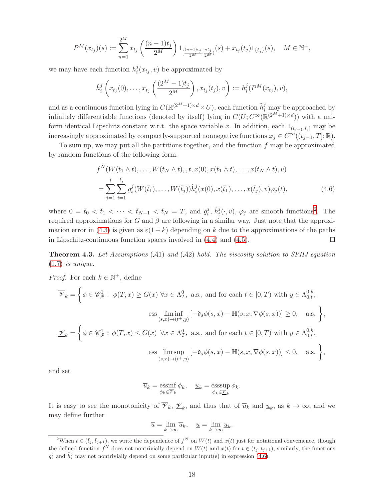$$
P^{M}(x_{t_{j}})(s) := \sum_{n=1}^{2^{M}} x_{t_{j}} \left(\frac{(n-1)t_{j}}{2^{M}}\right) 1_{\left[\frac{(n-1)t_{j}}{2^{M}}, \frac{nt_{j}}{2^{M}}\right)}(s) + x_{t_{j}}(t_{j}) 1_{\{t_{j}\}}(s), \quad M \in \mathbb{N}^{+},
$$

we may have each function  $h_i^j$  $i(x_{t_j}, v)$  be approximated by

$$
\tilde{h}_i^j\left(x_{t_j}(0),\ldots,x_{t_j}\left(\frac{(2^M-1)t_j}{2^M}\right),x_{t_j}(t_j),v\right):=h_i^j(P^M(x_{t_j}),v),
$$

and as a continuous function lying in  $C(\mathbb{R}^{(2^M+1)\times d}\times U)$ , each function  $\tilde{h}_i^j$  may be approached by infinitely differentiable functions (denoted by itself) lying in  $C(U; C^{\infty}(\mathbb{R}^{(2^M+1)\times d}))$  with a uniform identical Lipschitz constant w.r.t. the space variable x. In addition, each  $1_{(t_{j-1},t_j]}$  may be increasingly approximated by compactly-supported nonnegative functions  $\varphi_j \in C^{\infty}((t_{j-1}, T]; \mathbb{R})$ .

To sum up, we may put all the partitions together, and the function  $f$  may be approximated by random functions of the following form:

<span id="page-17-1"></span>
$$
f^{N}(W(\bar{t}_{1} \wedge t),...,W(\bar{t}_{N} \wedge t),t,x(0),x(\bar{t}_{1} \wedge t),...,x(\bar{t}_{N} \wedge t),v)
$$
  
= 
$$
\sum_{j=1}^{\bar{l}} \sum_{i=1}^{\bar{l}_{j}} g_{i}^{j}(W(\bar{t}_{1}),...,W(\bar{t}_{j})) \tilde{h}_{i}^{j}(x(0),x(\bar{t}_{1}),...,x(\bar{t}_{j}),v)\varphi_{j}(t),
$$
 (4.6)

where  $0 = \bar{t}_0 < \bar{t}_1 < \cdots < \bar{t}_{N-1} < \bar{t}_N = T$ , and  $g_i^j$  $i, \tilde{h}_i^j(\cdot, v), \varphi_j$  are smooth functions<sup>[2](#page-17-0)</sup>. The required approximations for G and  $\beta$  are following in a similar way. Just note that the approxi-mation error in [\(4.3\)](#page-16-2) is given as  $\varepsilon(1+k)$  depending on k due to the approximations of the paths in Lipschitz-continuous function spaces involved in [\(4.4\)](#page-16-3) and [\(4.5\)](#page-16-4).  $\Box$ 

**Theorem 4.3.** Let Assumptions  $(A1)$  and  $(A2)$  hold. The viscosity solution to SPHJ equation  $(1.7)$  is unique.

*Proof.* For each  $k \in \mathbb{N}^+$ , define

$$
\overline{\mathscr{V}}_k = \left\{ \phi \in \mathscr{C}_{\mathscr{F}}^1 : \phi(T, x) \ge G(x) \,\forall x \in \Lambda_T^0, \text{ a.s., and for each } t \in [0, T) \text{ with } y \in \Lambda_{0,t}^{0,k}, \right\}
$$
  

$$
\text{ess} \liminf_{(s,x) \to (t^+, y)} \left[ -\mathfrak{d}_s \phi(s, x) - \mathbb{H}(s, x, \nabla \phi(s, x)) \right] \ge 0, \text{ a.s.} \right\},
$$
  

$$
\underline{\mathscr{V}}_k = \left\{ \phi \in \mathscr{C}_{\mathscr{F}}^1 : \phi(T, x) \le G(x) \,\forall x \in \Lambda_T^0, \text{ a.s., and for each } t \in [0, T) \text{ with } y \in \Lambda_{0,t}^{0,k}, \right\}
$$
  

$$
\text{ess} \limsup_{(s,x) \to (t^+, y)} \left[ -\mathfrak{d}_s \phi(s, x) - \mathbb{H}(s, x, \nabla \phi(s, x)) \right] \le 0, \text{ a.s.} \right\},
$$

and set

$$
\overline{u}_k = \operatorname*{essinf}_{\phi_k \in \overline{\mathscr{V}}_k} \phi_k, \quad \underline{u}_k = \operatorname*{esssup}_{\phi_k \in \underline{\mathscr{V}}_k} \phi_k.
$$

It is easy to see the monotonicity of  $\overline{\mathscr{V}}_k$ ,  $\underline{\mathscr{V}}_k$ , and thus that of  $\overline{u}_k$  and  $\underline{u}_k$ , as  $k \to \infty$ , and we may define further

$$
\overline{u} = \lim_{k \to \infty} \overline{u}_k, \quad \underline{u} = \lim_{k \to \infty} \underline{u}_k.
$$

<span id="page-17-0"></span><sup>&</sup>lt;sup>2</sup>When  $t \in (\bar{t}_j, \bar{t}_{j+1})$ , we write the dependence of  $f^N$  on  $W(t)$  and  $x(t)$  just for notational convenience, though the defined function  $f^N$  does not nontrivially depend on  $W(t)$  and  $x(t)$  for  $t \in (\bar{t}_j, \bar{t}_{j+1})$ ; similarly, the functions  $g_i^j$  and  $\tilde{h}_i^j$  may not nontrivially depend on some particular input(s) in expression [\(4.6\)](#page-17-1).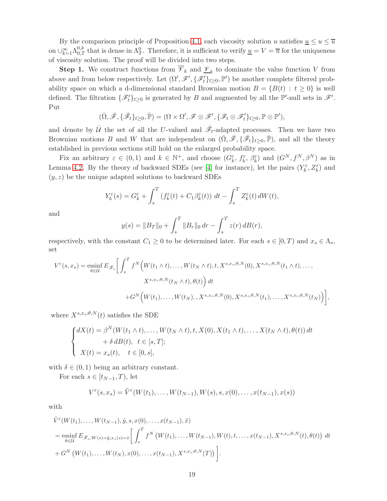By the comparison principle of Proposition [4.1,](#page-14-0) each viscosity solution u satisfies  $\underline{u} \le u \le \overline{u}$ on  $\bigcup_{k=1}^{\infty} \Lambda_{0,T}^{0,k}$  that is dense in  $\Lambda_T^0$ . Therefore, it is sufficient to verify  $\underline{u} = V = \overline{u}$  for the uniqueness of viscosity solution. The proof will be divided into two steps.

**Step 1.** We construct functions from  $\overline{\mathscr{V}}_k$  and  $\underline{\mathscr{V}}_k$  to dominate the value function V from above and from below respectively. Let  $(\Omega', \mathscr{F}', \{\mathscr{F}'_t\}_{t\geq 0}, \mathbb{P}')$  be another complete filtered probability space on which a d-dimensional standard Brownian motion  $B = \{B(t) : t \geq 0\}$  is well defined. The filtration  $\{\mathscr{F}'_t\}_{t\geq 0}$  is generated by B and augmented by all the  $\mathbb{P}'$ -null sets in  $\mathscr{F}'$ . Put

$$
(\bar{\Omega},\bar{\mathscr{F}},\{\bar{\mathscr{F}}_t\}_{t\geq 0},\bar{\mathbb{P}})=(\Omega\times\Omega',\mathscr{F}\otimes\mathscr{F}',\{\mathscr{F}_t\otimes\mathscr{F}_t'\}_{t\geq 0},\mathbb{P}\otimes\mathbb{P}'),
$$

and denote by  $\bar{U}$  the set of all the U-valued and  $\bar{\mathscr{F}}_t$ -adapted processes. Then we have two Brownian motions B and W that are independent on  $(\bar{\Omega}, \bar{\mathscr{F}}, \{\bar{\mathscr{F}}_t\}_{t\geq0}, \bar{\mathbb{P}})$ , and all the theory established in previous sections still hold on the enlarged probability space.

Fix an arbitrary  $\varepsilon \in (0,1)$  and  $k \in \mathbb{N}^+$ , and choose  $(G_k^{\varepsilon}, f_k^{\varepsilon}, \beta_k^{\varepsilon})$  and  $(G^N, f^N, \beta^N)$  as in Lemma [4.2.](#page-16-1) By the theory of backward SDEs (see [\[4\]](#page-23-11) for instance), let the pairs  $(Y_k^{\varepsilon}, Z_k^{\varepsilon})$  and  $(y, z)$  be the unique adapted solutions to backward SDEs

$$
Y_k^{\varepsilon}(s) = G_k^{\varepsilon} + \int_s^T \left( f_k^{\varepsilon}(t) + C_1 \beta_k^{\varepsilon}(t) \right) dt - \int_s^T Z_k^{\varepsilon}(t) dW(t),
$$

and

$$
y(s) = ||B_T||_0 + \int_s^T ||B_r||_0 dr - \int_s^T z(r) dB(r),
$$

respectively, with the constant  $C_1 \geq 0$  to be determined later. For each  $s \in [0, T)$  and  $x_s \in \Lambda_s$ , set

$$
V^{\varepsilon}(s,x_s) = \underset{\theta \in \overline{\mathcal{U}}}{\mathrm{essinf}} E_{\overline{\mathcal{F}}_s} \bigg[ \int_s^T f^N \Big( W(t_1 \wedge t), \dots, W(t_N \wedge t), t, X^{s,x_s;\theta,N}(0), X^{s,x_s;\theta,N}(t_1 \wedge t), \dots, \bigg] \times \frac{X^{s,x_s;\theta,N}(t_N \wedge t), \theta(t)}{X^{s,x_s;\theta,N}(t_N \wedge t), \theta(t)} \Big) dt + G^N \Big( W(t_1), \dots, W(t_N), X^{s,x_s;\theta,N}(0), X^{s,x_s;\theta,N}(t_1), \dots, X^{s,x_s;\theta,N}(t_N) \Big) \bigg],
$$

where  $X^{s,x_s;\theta,N}(t)$  satisfies the SDE

$$
\begin{cases}\n dX(t) = \beta^N(W(t_1 \wedge t), \dots, W(t_N \wedge t), t, X(0), X(t_1 \wedge t), \dots, X(t_N \wedge t), \theta(t)) dt \\
 \quad + \delta d(t), \quad t \in [s, T]; \\
 X(t) = x_s(t), \quad t \in [0, s],\n\end{cases}
$$

with  $\delta \in (0,1)$  being an arbitrary constant.

For each  $s \in [t_{N-1}, T)$ , let

$$
V^{\varepsilon}(s,x_s)=\tilde{V}^{\varepsilon}(W(t_1),\ldots,W(t_{N-1}),W(s),s,x(0),\ldots,x(t_{N-1}),x(s))
$$

with

$$
\tilde{V}^{\varepsilon}(W(t_1),...,W(t_{N-1}),\tilde{y},s,x(0),...,x(t_{N-1}),\tilde{x})
$$
\n
$$
= \operatorname*{essinf}_{\theta \in \tilde{U}} E_{\tilde{\mathscr{F}}_s,W(s)=\tilde{y},x_s(s)=\tilde{x}} \left[ \int_s^T f^N \left( W(t_1),...,W(t_{N-1}),W(t),t,...,x(t_{N-1}),X^{s,x_s;\theta,N}(t),\theta(t) \right) dt + G^N \left( W(t_1),...,W(t_N),x(0),...,x(t_{N-1}),X^{s,x_s;\theta,N}(T) \right) \right].
$$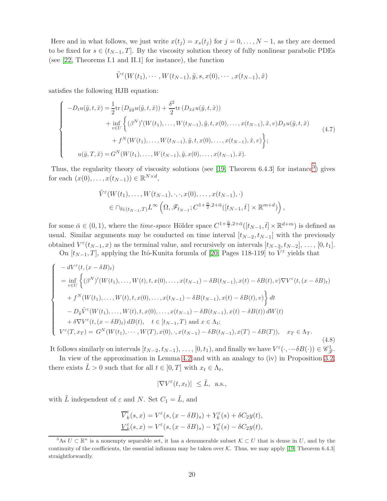Here and in what follows, we just write  $x(t_j) = x_s(t_j)$  for  $j = 0, \ldots, N-1$ , as they are deemed to be fixed for  $s \in (t_{N-1}, T]$ . By the viscosity solution theory of fully nonlinear parabolic PDEs (see [\[22,](#page-24-15) Theorems I.1 and II.1] for instance), the function

$$
\tilde{V}^{\varepsilon}(W(t_1),\cdots,W(t_{N-1}),\tilde{y},s,x(0),\cdots,x(t_{N-1}),\tilde{x})
$$

satisfies the following HJB equation:

$$
\begin{cases}\n-D_{t}u(\tilde{y},t,\tilde{x}) = \frac{1}{2}\text{tr}\left(D_{\tilde{y}\tilde{y}}u(\tilde{y},t,\tilde{x})\right) + \frac{\delta^{2}}{2}\text{tr}\left(D_{\tilde{x}\tilde{x}}u(\tilde{y},t,\tilde{x})\right) \\
+ \inf_{v\in U}\left\{ (\beta^{N})'(W(t_{1}),\ldots,W(t_{N-1}),\tilde{y},t,x(0),\ldots,x(t_{N-1}),\tilde{x},v)D_{\tilde{x}}u(\tilde{y},t,\tilde{x})\right. \\
+ f^{N}(W(t_{1}),\ldots,W(t_{N-1}),\tilde{y},t,x(0),\ldots,x(t_{N-1}),\tilde{x},v)\right\}; \\
u(\tilde{y},T,\tilde{x}) = G^{N}(W(t_{1}),\ldots,W(t_{N-1}),\tilde{y},x(0),\ldots,x(t_{N-1}),\tilde{x}).\n\end{cases} (4.7)
$$

Thus, the regularity theory of viscosity solutions (see [\[19,](#page-24-16) Theorem 6.4.[3](#page-19-0)] for instance<sup>3</sup>) gives for each  $(x(0),...,x(t_{N-1})) \in \mathbb{R}^{N \times d}$ ,

$$
\tilde{V}^{\varepsilon}(W(t_1),\ldots,W(t_{N-1}),\cdot,\cdot,x(0),\ldots,x(t_{N-1}),\cdot)
$$
\n
$$
\in \bigcap_{\bar{t}\in(t_{N-1},T)} L^{\infty}\left(\Omega,\mathscr{F}_{t_{N-1}};C^{1+\frac{\bar{\alpha}}{2},2+\bar{\alpha}}([t_{N-1},\bar{t}]\times\mathbb{R}^{m+d})\right),
$$

for some  $\bar{\alpha} \in (0,1)$ , where the *time-space* Hölder space  $C^{1+\frac{\bar{\alpha}}{2},2+\bar{\alpha}}([t_{N-1}, \bar{t}] \times \mathbb{R}^{d+m})$  is defined as usual. Similar arguments may be conducted on time interval  $[t_{N-2}, t_{N-1}]$  with the previously obtained  $V^{\varepsilon}(t_{N-1}, x)$  as the terminal value, and recursively on intervals  $[t_{N-3}, t_{N-2}], \ldots, [0, t_1].$ 

On  $[t_{N-1}, T]$ , applying the Itô-Kunita formula of [\[20,](#page-24-12) Pages 118-119] to  $\tilde{V}^{\varepsilon}$  yields that

$$
\begin{cases}\n-dV^{\varepsilon}(t, (x-\delta B)_t) \\
= \inf_{v\in U} \left\{ (\beta^N)'(W(t_1),..., W(t), t, x(0),..., x(t_{N-1}) - \delta B(t_{N-1}), x(t) - \delta B(t), v) \nabla V^{\varepsilon}(t, (x-\delta B)_t) \right. \\
\left. + f^N(W(t_1),..., W(t), t, x(0),..., x(t_{N-1}) - \delta B(t_{N-1}), x(t) - \delta B(t), v) \right\} dt \\
- D_{\tilde{y}} \tilde{V}^{\varepsilon}(W(t_1),..., W(t), t, x(0),..., x(t_{N-1}) - \delta B(t_{N-1}), x(t) - \delta B(t)) dW(t) \\
+ \delta \nabla V^{\varepsilon}(t, (x-\delta B)_t) dB(t), \quad t \in [t_{N-1}, T) \text{ and } x \in \Lambda_t; \\
V^{\varepsilon}(T, x_T) = G^N(W(t_1),..., W(T), x(0), \cdot, x(t_{N-1}) - \delta B(t_{N-1}), x(T) - \delta B(T)), \quad x_T \in \Lambda_T.\n\end{cases} \tag{4.8}
$$

It follows similarly on intervals  $[t_{N-2}, t_{N-1}), \ldots, [0, t_1)$ , and finally we have  $V^{\varepsilon}(\cdot, -\delta B(\cdot)) \in \mathscr{C}_{\bar{\mathscr{F}}}^1$ .

In view of the approximation in Lemma [4.2](#page-16-1) and with an analogy to (iv) in Proposition [3.2,](#page-9-1) there exists  $\tilde{L} > 0$  such that for all  $t \in [0, T]$  with  $x_t \in \Lambda_t$ ,

$$
|\nabla V^{\varepsilon}(t, x_t)| \leq \tilde{L}, \text{ a.s.},
$$

with  $\tilde{L}$  independent of  $\varepsilon$  and N. Set  $C_1 = \tilde{L}$ , and

$$
\overline{V}_k^\varepsilon(s,x)=V^\varepsilon(s,(x-\delta B)_s)+Y_k^\varepsilon(s)+\delta C_2y(t),
$$
  

$$
\underline{V}_k^\varepsilon(s,x)=V^\varepsilon(s,(x-\delta B)_s)-Y_k^\varepsilon(s)-\delta C_2y(t),
$$

<span id="page-19-0"></span><sup>&</sup>lt;sup>3</sup>As  $U \subset \mathbb{R}^n$  is a nonempty separable set, it has a denumerable subset  $\mathcal{K} \subset U$  that is dense in U, and by the continuity of the coefficients, the essential infimum may be taken over  $K$ . Thus, we may apply [\[19,](#page-24-16) Theorem 6.4.3] straightforwardly.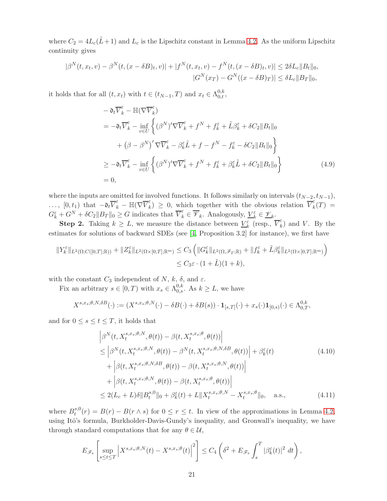where  $C_2 = 4L_c(\tilde{L}+1)$  and  $L_c$  is the Lipschitz constant in Lemma [4.2.](#page-16-1) As the uniform Lipschitz continuity gives

$$
|\beta^{N}(t, x_{t}, v) - \beta^{N}(t, (x - \delta B)_{t}, v)| + |f^{N}(t, x_{t}, v) - f^{N}(t, (x - \delta B)_{t}, v)| \leq 2\delta L_{c}||B_{t}||_{0},
$$
  

$$
|G^{N}(x_{T}) - G^{N}((x - \delta B)_{T})| \leq \delta L_{c}||B_{T}||_{0},
$$

it holds that for all  $(t, x_t)$  with  $t \in (t_{N-1}, T)$  and  $x_t \in \Lambda_{0,t}^{0,k}$ ,

$$
- \partial_t \overline{V}_k^{\varepsilon} - \mathbb{H}(\nabla \overline{V}_k^{\varepsilon})
$$
  
\n
$$
= -\partial_t \overline{V}_k^{\varepsilon} - \inf_{v \in U} \left\{ (\beta^N)' \nabla \overline{V}_k^{\varepsilon} + f^N + f_k^{\varepsilon} + \tilde{L}\beta_k^{\varepsilon} + \delta C_2 \|B_t\|_0 \right\}
$$
  
\n
$$
+ (\beta - \beta^N)' \nabla \overline{V}_k^{\varepsilon} - \beta_k^{\varepsilon} \tilde{L} + f - f^N - f_k^{\varepsilon} - \delta C_2 \|B_t\|_0 \right\}
$$
  
\n
$$
\geq -\partial_t \overline{V}_k^{\varepsilon} - \inf_{v \in U} \left\{ (\beta^N)' \nabla \overline{V}_k^{\varepsilon} + f^N + f_k^{\varepsilon} + \beta_k^{\varepsilon} \tilde{L} + \delta C_2 \|B_t\|_0 \right\}
$$
  
\n
$$
= 0,
$$
 (4.9)

where the inputs are omitted for involved functions. It follows similarly on intervals  $(t_{N-2}, t_{N-1}),$  $\ldots, [0, t_1)$  that  $-\mathfrak{d}_t \overline{V}_k^{\varepsilon} - \mathbb{H}(\nabla \overline{V}_k^{\varepsilon})$  $(\mathbf{k}) \geq 0$ , which together with the obvious relation  $\overline{V}_k^{\varepsilon}$  $\frac{c}{k}(T) =$  $G_{k}^{\varepsilon}+G^{N}+\delta C_{2}||B_{T}||_{0}\geq G$  indicates that  $\overline{V}_{k}^{\varepsilon}\in\overline{\mathscr{V}}_{k}$ . Analogously,  $\underline{V}_{k}^{\varepsilon}\in\underline{\mathscr{V}}_{k}$ .

**Step 2.** Taking  $k \geq L$ , we measure the distance between  $\underline{V}_k^{\varepsilon}$  (resp.,  $\overline{V}_k^{\varepsilon}$  $\kappa$ <sub>k</sub>) and *V*. By the estimates for solutions of backward SDEs (see [\[4,](#page-23-11) Proposition 3.2] for instance), we first have

$$
||Y_k^{\varepsilon}||_{L^2(\Omega;C([0,T];\mathbb{R}))} + ||Z_k^{\varepsilon}||_{L^2(\Omega\times[0,T];\mathbb{R}^m)} \leq C_3 \left(||G_k^{\varepsilon}||_{L^2(\Omega,\mathscr{F}_T;\mathbb{R})} + ||f_k^{\varepsilon} + \tilde{L}\beta_k^{\varepsilon}||_{L^2(\Omega\times[0,T];\mathbb{R}^m)}\right) \leq C_3\varepsilon \cdot (1+\tilde{L})(1+k),
$$

with the constant  $C_3$  independent of N, k,  $\delta$ , and  $\varepsilon$ .

Fix an arbitrary  $s \in [0, T)$  with  $x_s \in \Lambda_{0,s}^{0,k}$ . As  $k \geq L$ , we have

$$
X^{s,x_s;\theta,N,\delta B}(\cdot) := (X^{s,x_s;\theta,N}(\cdot) - \delta B(\cdot) + \delta B(s)) \cdot \mathbf{1}_{[s,T]}(\cdot) + x_s(\cdot) \mathbf{1}_{[0,s)}(\cdot) \in \Lambda_{0,T}^{0,k},
$$

and for  $0 \leq s \leq t \leq T$ , it holds that

<span id="page-20-0"></span>
$$
\left| \beta^{N}(t, X_{t}^{s,x_{s};\theta,N}, \theta(t)) - \beta(t, X_{t}^{s,x_{s};\theta}, \theta(t)) \right|
$$
\n
$$
\leq \left| \beta^{N}(t, X_{t}^{s,x_{s};\theta,N}, \theta(t)) - \beta^{N}(t, X_{t}^{s,x_{s};\theta,N,\delta B}, \theta(t)) \right| + \beta_{k}^{\varepsilon}(t)
$$
\n
$$
+ \left| \beta(t, X_{t}^{s,x_{s};\theta,N,\delta B}, \theta(t)) - \beta(t, X_{t}^{s,x_{s};\theta,N}, \theta(t)) \right|
$$
\n
$$
+ \left| \beta(t, X_{t}^{s,x_{s};\theta,N}, \theta(t)) - \beta(t, X_{t}^{s,x_{s};\theta}, \theta(t)) \right|
$$
\n
$$
\leq 2(L_{c} + L)\delta \| B_{t}^{s,0} \|_{0} + \beta_{k}^{\varepsilon}(t) + L \| X_{t}^{s,x_{s};\theta,N} - X_{t}^{s,x_{s};\theta} \|_{0}, \quad \text{a.s.,}
$$
\n(4.11)

where  $B_t^{s,0}$  $t^{s,0}(r) = B(r) - B(r \wedge s)$  for  $0 \le r \le t$ . In view of the approximations in Lemma [4.2,](#page-16-1) using Itô's formula, Burkholder-Davis-Gundy's inequality, and Gronwall's inequality, we have through standard computations that for any  $\theta \in \mathcal{U}$ ,

$$
E_{\mathscr{F}_s} \left[ \sup_{s \le t \le T} \left| X^{s,x_s;\theta,N}(t) - X^{s,x_s;\theta}(t) \right|^2 \right] \le C_4 \left( \delta^2 + E_{\mathscr{F}_s} \int_s^T \left| \beta_k^{\varepsilon}(t) \right|^2 dt \right),
$$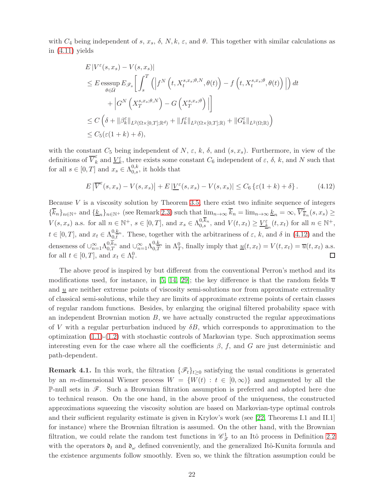with  $C_4$  being independent of s,  $x_s$ ,  $\delta$ ,  $N, k, \varepsilon$ , and  $\theta$ . This together with similar calculations as in  $(4.11)$  yields

$$
E|V^{\varepsilon}(s,x_{s}) - V(s,x_{s})|
$$
  
\n
$$
\leq E \operatorname{ess}\sup_{\theta \in \mathcal{U}} E_{\mathscr{F}_{s}} \left[ \int_{s}^{T} \left( \left| f^{N}\left(t, X_{t}^{s,x_{s};\theta,N}, \theta(t)\right) - f\left(t, X_{t}^{s,x_{s};\theta}, \theta(t)\right) \right| \right) dt + \left| G^{N}\left(X_{T}^{s,x_{s};\theta,N}\right) - G\left(X_{T}^{s,x_{s};\theta}\right) \right| \right]
$$
  
\n
$$
\leq C \left( \delta + ||\beta_{k}^{\varepsilon}||_{L^{2}(\Omega \times [0,T];\mathbb{R}^{d})} + ||f_{k}^{\varepsilon}||_{L^{2}(\Omega \times [0,T];\mathbb{R})} + ||G_{k}^{\varepsilon}||_{L^{2}(\Omega;\mathbb{R})} \right)
$$
  
\n
$$
\leq C_{5}(\varepsilon(1+k)+\delta),
$$

with the constant  $C_5$  being independent of  $N$ ,  $\varepsilon$ ,  $k$ ,  $\delta$ , and  $(s, x_s)$ . Furthermore, in view of the definitions of  $\overline{V}_k^{\varepsilon}$  $\epsilon_k^{\varepsilon}$  and  $\underline{V}_k^{\varepsilon}$ , there exists some constant  $C_6$  independent of  $\varepsilon$ ,  $\delta$ ,  $k$ , and N such that for all  $s \in [0, T]$  and  $x_s \in \Lambda_{0,s}^{0,k}$ , it holds that

<span id="page-21-0"></span>
$$
E\left|\overline{V}^{\varepsilon}(s,x_s) - V(s,x_s)\right| + E\left|\underline{V}^{\varepsilon}(s,x_s) - V(s,x_s)\right| \leq C_6 \left\{\varepsilon(1+k) + \delta\right\}.
$$
 (4.12)

Because  $V$  is a viscosity solution by Theorem [3.5,](#page-11-1) there exist two infinite sequence of integers  ${\{\overline{k}_n\}}_{n\in\mathbb{N}^+}$  and  ${\{\underline{k}_n\}}_{n\in\mathbb{N}^+}$  (see Remark [2.3\)](#page-8-1) such that  $\lim_{n\to\infty} \overline{k}_n = \lim_{n\to\infty} \underline{k}_n = \infty$ ,  $\overline{V}_{\overline{k}}^{\varepsilon}$  $\frac{\epsilon}{k_n}(s,x_s) \geq$  $V(s, x_s)$  a.s. for all  $n \in \mathbb{N}^+$ ,  $s \in [0, T]$ , and  $x_s \in \Lambda_{0,s}^{0,k_n}$ , and  $V(t, x_t) \geq \underline{V_{k_n}^{\varepsilon}}(t, x_t)$  for all  $n \in \mathbb{N}^+$ ,  $t \in [0,T]$ , and  $x_t \in \Lambda_{0,t}^{0,k_n}$ . These, together with the arbitrariness of  $\varepsilon$ , k, and  $\delta$  in [\(4.12\)](#page-21-0) and the denseness of  $\bigcup_{n=1}^{\infty} \Lambda_{0,T}^{0,\overline{k}_n}$  and  $\bigcup_{n=1}^{\infty} \Lambda_{0,T}^{0,\underline{k}_n}$  in  $\Lambda_T^0$ , finally imply that  $\underline{u}(t,x_t) = V(t,x_t) = \overline{u}(t,x_t)$  a.s. for all  $t \in [0, T]$ , and  $x_t \in \Lambda_t^0$ .  $\Box$ 

The above proof is inspired by but different from the conventional Perron's method and its modifications used, for instance, in [\[5,](#page-23-8) [14,](#page-24-0) [29\]](#page-24-5); the key difference is that the random fields  $\overline{u}$ and  $u$  are neither extreme points of viscosity semi-solutions nor from approximate extremality of classical semi-solutions, while they are limits of approximate extreme points of certain classes of regular random functions. Besides, by enlarging the original filtered probability space with an independent Brownian motion  $B$ , we have actually constructed the regular approximations of V with a regular perturbation induced by  $\delta B$ , which corresponds to approximation to the optimization  $(1.1)-(1.2)$  $(1.1)-(1.2)$  with stochastic controls of Markovian type. Such approximation seems interesting even for the case where all the coefficients  $\beta$ , f, and G are just deterministic and path-dependent.

**Remark 4.1.** In this work, the filtration  $\{\mathscr{F}_t\}_{t\geq 0}$  satisfying the usual conditions is generated by an m-dimensional Wiener process  $W = \{W(t) : t \in [0,\infty)\}\$  and augmented by all the P-null sets in  $\mathscr F$ . Such a Brownian filtration assumption is preferred and adopted here due to technical reason. On the one hand, in the above proof of the uniqueness, the constructed approximations squeezing the viscosity solution are based on Markovian-type optimal controls and their sufficient regularity estimate is given in Krylov's work (see [\[22,](#page-24-15) Theorems I.1 and II.1] for instance) where the Brownian filtration is assumed. On the other hand, with the Brownian filtration, we could relate the random test functions in  $\mathcal{C}^1_{\mathcal{F}}$  to an Itô process in Definition [2.2](#page-5-0) with the operators  $\mathfrak{d}_t$  and  $\mathfrak{d}_\omega$  defined conveniently, and the generalized Itô-Kunita formula and the existence arguments follow smoothly. Even so, we think the filtration assumption could be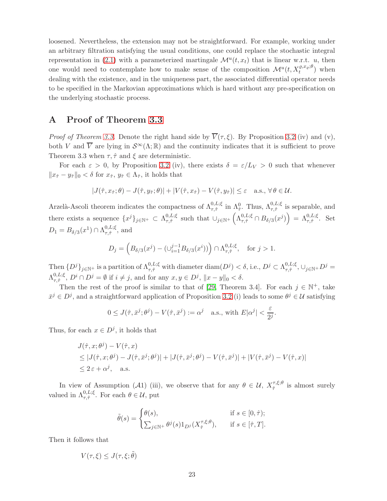loosened. Nevertheless, the extension may not be straightforward. For example, working under an arbitrary filtration satisfying the usual conditions, one could replace the stochastic integral representation in [\(2.1\)](#page-5-3) with a parameterized martingale  $\mathcal{M}^u(t, x_t)$  that is linear w.r.t. u, then one would need to contemplate how to make sense of the composition  $\mathcal{M}^u(t, X_t^{\varrho,x_\varrho;\theta})$  when dealing with the existence, and in the uniqueness part, the associated differential operator needs to be specified in the Markovian approximations which is hard without any pre-specification on the underlying stochastic process.

### A Proof of Theorem [3.3](#page-9-0)

*Proof of Theorem [3.3.](#page-9-0)* Denote the right hand side by  $\overline{V}(\tau,\xi)$ . By Proposition [3.2](#page-9-1) (iv) and (v), both V and  $\overline{V}$  are lying in  $\mathcal{S}^{\infty}(\Lambda;\mathbb{R})$  and the continuity indicates that it is sufficient to prove Theorem 3.3 when  $\tau$ ,  $\hat{\tau}$  and  $\xi$  are deterministic.

For each  $\varepsilon > 0$ , by Proposition [3.2](#page-9-1) (iv), there exists  $\delta = \varepsilon/L_V > 0$  such that whenever  $||x_{\hat{\tau}} - y_{\hat{\tau}}||_0 < \delta$  for  $x_{\hat{\tau}}, y_{\hat{\tau}} \in \Lambda_{\hat{\tau}},$  it holds that

$$
|J(\hat{\tau}, x_{\hat{\tau}}; \theta) - J(\hat{\tau}, y_{\hat{\tau}}; \theta)| + |V(\hat{\tau}, x_{\hat{\tau}}) - V(\hat{\tau}, y_{\hat{\tau}})| \leq \varepsilon \quad \text{a.s., } \forall \, \theta \in \mathcal{U}.
$$

Arzelà-Ascoli theorem indicates the compactness of  $\Lambda_{\tau,\hat{\tau}}^{0,L;\xi}$  in  $\Lambda_{\hat{\tau}}^0$ . Thus,  $\Lambda_{\tau,\hat{\tau}}^{0,L;\xi}$  is separable, and there exists a sequence  $\{x^j\}_{j\in\mathbb{N}^+}\subset \Lambda_{\tau,\hat{\tau}}^{0,L;\xi}$  $\sigma_{\tau,\hat{\tau}}^{0,L;\xi}$  such that  $\cup_{j\in\mathbb{N}^+}\left(\Lambda_{\tau,\hat{\tau}}^{0,L;\xi}\cap B_{\delta/3}(x^j)\right) = \Lambda_{\tau,\hat{\tau}}^{0,L;\xi}$ . Set  $D_1=B_{\delta/3}(x^1)\cap \Lambda_{\tau,\hat\tau}^{0,L;\xi}$  $_{\tau,\hat{\tau}}^{\mathsf{U},\mathsf{L};\zeta}$ , and

$$
D_j = \left( B_{\delta/3}(x^j) - (\cup_{i=1}^{j-1} B_{\delta/3}(x^i)) \right) \cap \Lambda_{\tau,\hat{\tau}}^{0,L;\xi}, \text{ for } j > 1.
$$

Then  $\{D^j\}_{j\in\mathbb{N}^+}$  is a partition of  $\Lambda_{\tau,\hat{\tau}}^{0,L;\xi}$  with diameter  $\text{diam}(D^j)<\delta$ , i.e.,  $D^j\subset \Lambda_{\tau,\hat{\tau}}^{0,L;\xi}$  $_{\tau,\hat{\tau}}^{0,L;\xi},\cup_{j\in\mathbb{N}^+}D^j=$  $\Lambda^{0,L;\xi}_{\tau\cdot\hat\tau}$  $\mathbb{R}^{0,L;\xi}_{\tau,\hat{\tau}}, D^i \cap D^j = \emptyset$  if  $i \neq j$ , and for any  $x, y \in D^j$ ,  $||x - y||_0 < \delta$ .

Then the rest of the proof is similar to that of [\[29,](#page-24-5) Theorem 3.4]. For each  $j \in \mathbb{N}^+$ , take  $\bar{x}^j \in D^j$ , and a straightforward application of Proposition [3.2](#page-9-1) (i) leads to some  $\theta^j \in \mathcal{U}$  satisfying

$$
0 \le J(\hat{\tau}, \bar{x}^j; \theta^j) - V(\hat{\tau}, \bar{x}^j) := \alpha^j \quad \text{a.s., with } E|\alpha^j| < \frac{\varepsilon}{2^j}.
$$

Thus, for each  $x \in D^j$ , it holds that

$$
J(\hat{\tau}, x; \theta^j) - V(\hat{\tau}, x)
$$
  
\n
$$
\leq |J(\hat{\tau}, x; \theta^j) - J(\hat{\tau}, \bar{x}^j; \theta^j)| + |J(\hat{\tau}, \bar{x}^j; \theta^j) - V(\hat{\tau}, \bar{x}^j)| + |V(\hat{\tau}, \bar{x}^j) - V(\hat{\tau}, x)|
$$
  
\n
$$
\leq 2\varepsilon + \alpha^j, \quad \text{a.s.}
$$

In view of Assumption (A1) (iii), we observe that for any  $\theta \in \mathcal{U}$ ,  $X_{\hat{\tau}}^{\tau,\xi;\theta}$  $\hat{\tau}^{\tau,\xi;\sigma}$  is almost surely valued in  $\Lambda_{\tau,\hat{\tau}}^{0,L;\xi}$ . For each  $\theta \in \mathcal{U}$ , put

$$
\tilde{\theta}(s) = \begin{cases} \theta(s), & \text{if } s \in [0, \hat{\tau}); \\ \sum_{j \in \mathbb{N}^+} \theta^j(s) 1_{D^j}(X^{\tau, \xi; \theta}_{\hat{\tau}}), & \text{if } s \in [\hat{\tau}, T]. \end{cases}
$$

Then it follows that

$$
V(\tau,\xi) \leq J(\tau,\xi;\tilde{\theta})
$$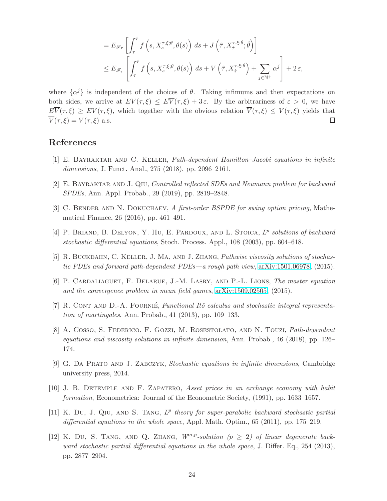$$
= E_{\mathscr{F}_{\tau}} \left[ \int_{\tau}^{\hat{\tau}} f\left(s, X_s^{\tau, \xi; \theta}, \theta(s)\right) ds + J\left(\hat{\tau}, X_{\hat{\tau}}^{\tau, \xi; \theta}; \tilde{\theta}\right) \right]
$$
  

$$
\leq E_{\mathscr{F}_{\tau}} \left[ \int_{\tau}^{\hat{\tau}} f\left(s, X_s^{\tau, \xi; \theta}, \theta(s)\right) ds + V\left(\hat{\tau}, X_{\hat{\tau}}^{\tau, \xi; \theta}\right) + \sum_{j \in \mathbb{N}^+} \alpha^j \right] + 2 \varepsilon,
$$

where  $\{\alpha^j\}$  is independent of the choices of  $\theta$ . Taking infimums and then expectations on both sides, we arrive at  $EV(\tau, \xi) \leq E\overline{V}(\tau, \xi) + 3\varepsilon$ . By the arbitrariness of  $\varepsilon > 0$ , we have  $E\overline{V}(\tau,\xi) \geq EV(\tau,\xi)$ , which together with the obvious relation  $\overline{V}(\tau,\xi) \leq V(\tau,\xi)$  yields that  $\overline{V}(\tau,\xi) = V(\tau,\xi)$  a.s.  $\Box$ 

# <span id="page-23-2"></span>References

- <span id="page-23-5"></span>[1] E. Bayraktar and C. Keller, Path-dependent Hamilton–Jacobi equations in infinite dimensions, J. Funct. Anal., 275 (2018), pp. 2096–2161.
- <span id="page-23-4"></span>[2] E. Bayraktar and J. Qiu, Controlled reflected SDEs and Neumann problem for backward SPDEs, Ann. Appl. Probab., 29 (2019), pp. 2819–2848.
- <span id="page-23-11"></span>[3] C. BENDER AND N. DOKUCHAEV, A first-order BSPDE for swing option pricing, Mathematical Finance, 26 (2016), pp. 461–491.
- <span id="page-23-8"></span>[4] P. BRIAND, B. DELYON, Y. HU, E. PARDOUX, AND L. STOICA,  $L^p$  solutions of backward stochastic differential equations, Stoch. Process. Appl., 108 (2003), pp. 604–618.
- <span id="page-23-6"></span>[5] R. BUCKDAHN, C. KELLER, J. MA, AND J. ZHANG, *Pathwise viscosity solutions of stochas*tic PDEs and forward path-dependent PDEs—a rough path view, [arXiv:1501.06978,](http://arxiv.org/abs/1501.06978) (2015).
- <span id="page-23-1"></span>[6] P. Cardaliaguet, F. Delarue, J.-M. Lasry, and P.-L. Lions, The master equation and the convergence problem in mean field games, [arXiv:1509.02505,](http://arxiv.org/abs/1509.02505) (2015).
- <span id="page-23-3"></span>[7] R. CONT AND D.-A. FOURNIÉ, Functional Itô calculus and stochastic integral representation of martingales, Ann. Probab., 41 (2013), pp. 109–133.
- [8] A. Cosso, S. Federico, F. Gozzi, M. Rosestolato, and N. Touzi, Path-dependent equations and viscosity solutions in infinite dimension, Ann. Probab., 46 (2018), pp. 126– 174.
- <span id="page-23-10"></span><span id="page-23-0"></span>[9] G. Da Prato and J. Zabczyk, Stochastic equations in infinite dimensions, Cambridge university press, 2014.
- <span id="page-23-9"></span>[10] J. B. Detemple and F. Zapatero, Asset prices in an exchange economy with habit formation, Econometrica: Journal of the Econometric Society, (1991), pp. 1633–1657.
- [11] K. Du, J. QIU, AND S. TANG,  $L^p$  theory for super-parabolic backward stochastic partial differential equations in the whole space, Appl. Math. Optim.,  $65$  (2011), pp. 175–219.
- <span id="page-23-7"></span>[12] K. Du, S. TANG, AND Q. ZHANG,  $W^{m,p}$ -solution ( $p \geq 2$ ) of linear degenerate backward stochastic partial differential equations in the whole space, J. Differ. Eq., 254 (2013), pp. 2877–2904.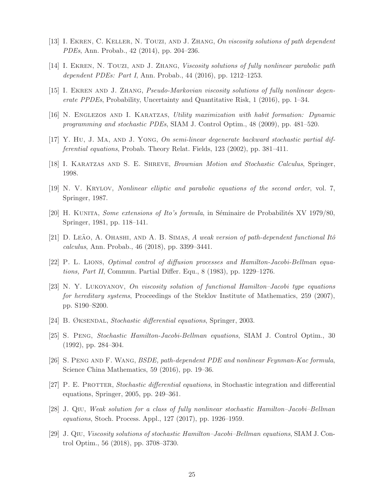- <span id="page-24-9"></span><span id="page-24-0"></span>[13] I. EKREN, C. KELLER, N. TOUZI, AND J. ZHANG, On viscosity solutions of path dependent PDEs, Ann. Probab., 42 (2014), pp. 204–236.
- <span id="page-24-8"></span>[14] I. EKREN, N. TOUZI, AND J. ZHANG, Viscosity solutions of fully nonlinear parabolic path dependent PDEs: Part I, Ann. Probab., 44 (2016), pp. 1212–1253.
- <span id="page-24-2"></span>[15] I. EKREN AND J. ZHANG, *Pseudo-Markovian viscosity solutions of fully nonlinear degen*erate PPDEs, Probability, Uncertainty and Quantitative Risk, 1 (2016), pp. 1–34.
- <span id="page-24-6"></span>[16] N. Englezos and I. Karatzas, Utility maximization with habit formation: Dynamic programming and stochastic PDEs, SIAM J. Control Optim., 48 (2009), pp. 481–520.
- <span id="page-24-11"></span>[17] Y. Hu, J. Ma, and J. Yong, On semi-linear degenerate backward stochastic partial differential equations, Probab. Theory Relat. Fields, 123 (2002), pp. 381–411.
- <span id="page-24-16"></span>[18] I. Karatzas and S. E. Shreve, Brownian Motion and Stochastic Calculus, Springer, 1998.
- <span id="page-24-12"></span>[19] N. V. Krylov, Nonlinear elliptic and parabolic equations of the second order, vol. 7, Springer, 1987.
- <span id="page-24-3"></span>[20] H. KUNITA, *Some extensions of Ito's formula*, in Séminaire de Probabilités XV 1979/80, Springer, 1981, pp. 118–141.
- <span id="page-24-15"></span>[21] D. LEÃO, A. OHASHI, AND A. B. SIMAS, A weak version of path-dependent functional Itô calculus, Ann. Probab., 46 (2018), pp. 3399–3441.
- <span id="page-24-1"></span>[22] P. L. Lions, Optimal control of diffusion processes and Hamilton-Jacobi-Bellman equations, Part II, Commun. Partial Differ. Equ., 8 (1983), pp. 1229–1276.
- [23] N. Y. Lukoyanov, On viscosity solution of functional Hamilton–Jacobi type equations for hereditary systems, Proceedings of the Steklov Institute of Mathematics, 259 (2007), pp. S190–S200.
- <span id="page-24-14"></span><span id="page-24-7"></span>[24] B. ØKSENDAL, Stochastic differential equations, Springer, 2003.
- <span id="page-24-4"></span>[25] S. Peng, Stochastic Hamilton-Jacobi-Bellman equations, SIAM J. Control Optim., 30 (1992), pp. 284–304.
- <span id="page-24-13"></span>[26] S. Peng and F. Wang, BSDE, path-dependent PDE and nonlinear Feynman-Kac formula, Science China Mathematics, 59 (2016), pp. 19–36.
- <span id="page-24-10"></span>[27] P. E. PROTTER, Stochastic differential equations, in Stochastic integration and differential equations, Springer, 2005, pp. 249–361.
- <span id="page-24-5"></span>[28] J. Qiu, Weak solution for a class of fully nonlinear stochastic Hamilton–Jacobi–Bellman equations, Stoch. Process. Appl., 127 (2017), pp. 1926–1959.
- [29] J. Qiu, Viscosity solutions of stochastic Hamilton–Jacobi–Bellman equations, SIAM J. Control Optim., 56 (2018), pp. 3708–3730.